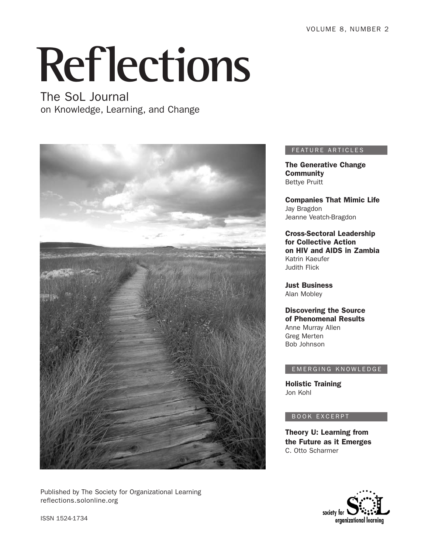VOLUME 8, NUMBER 2

# **Reflections**

# The SoL Journal

on Knowledge, Learning, and Change



Published by The Society for Organizational Learning reflections.solonline.org

#### FEATURE ARTICLES

The Generative Change **Community** Bettye Pruitt

Companies That Mimic Life Jay Bragdon Jeanne Veatch-Bragdon

Cross-Sectoral Leadership for Collective Action on HIV and AIDS in Zambia Katrin Kaeufer Judith Flick

Just Business Alan Mobley

Discovering the Source of Phenomenal Results Anne Murray Allen Greg Merten Bob Johnson

### EMERGING KNOWLEDGE

Holistic Training Jon Kohl

#### BOOK EXCERPT

Theory U: Learning from the Future as it Emerges C. Otto Scharmer



ISSN 1524-1734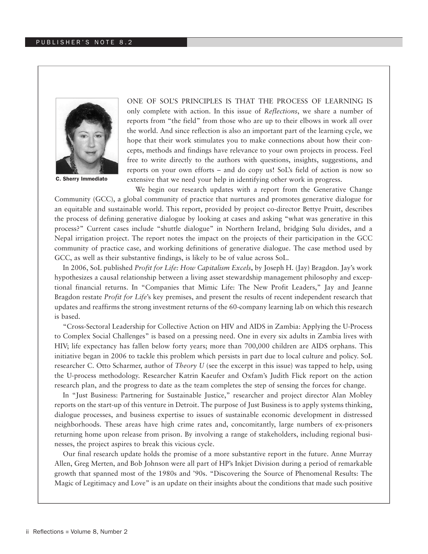

C. Sherry Immediato

One of SoL's principles is that the process of learning is only complete with action. In this issue of *Reflections*, we share a number of reports from "the field" from those who are up to their elbows in work all over the world. And since reflection is also an important part of the learning cycle, we hope that their work stimulates you to make connections about how their concepts, methods and findings have relevance to your own projects in process. Feel free to write directly to the authors with questions, insights, suggestions, and reports on your own efforts – and do copy us! SoL's field of action is now so extensive that we need your help in identifying other work in progress.

We begin our research updates with a report from the Generative Change Community (GCC), a global community of practice that nurtures and promotes generative dialogue for an equitable and sustainable world. This report, provided by project co-director Bettye Pruitt, describes the process of defining generative dialogue by looking at cases and asking "what was generative in this process?" Current cases include "shuttle dialogue" in Northern Ireland, bridging Sulu divides, and a Nepal irrigation project. The report notes the impact on the projects of their participation in the GCC community of practice case, and working definitions of generative dialogue. The case method used by GCC, as well as their substantive findings, is likely to be of value across SoL.

In 2006, SoL published *Profit for Life: How Capitalism Excels***,** by Joseph H. (Jay) Bragdon. Jay's work hypothesizes a causal relationship between a living asset stewardship management philosophy and exceptional financial returns. In "Companies that Mimic Life: The New Profit Leaders," Jay and Jeanne Bragdon restate *Profit for Life*'s key premises, and present the results of recent independent research that updates and reaffirms the strong investment returns of the 60-company learning lab on which this research is based.

"Cross-Sectoral Leadership for Collective Action on HIV and AIDS in Zambia: Applying the U-Process to Complex Social Challenges" is based on a pressing need. One in every six adults in Zambia lives with HIV; life expectancy has fallen below forty years; more than 700,000 children are AIDS orphans. This initiative began in 2006 to tackle this problem which persists in part due to local culture and policy. SoL researcher C. Otto Scharmer, author of *Theory U* (see the excerpt in this issue) was tapped to help, using the U-process methodology. Researcher Katrin Kaeufer and Oxfam's Judith Flick report on the action research plan, and the progress to date as the team completes the step of sensing the forces for change.

In "Just Business: Partnering for Sustainable Justice," researcher and project director Alan Mobley reports on the start-up of this venture in Detroit. The purpose of Just Business is to apply systems thinking, dialogue processes, and business expertise to issues of sustainable economic development in distressed neighborhoods. These areas have high crime rates and, concomitantly, large numbers of ex-prisoners returning home upon release from prison. By involving a range of stakeholders, including regional businesses, the project aspires to break this vicious cycle.

Our final research update holds the promise of a more substantive report in the future. Anne Murray Allen, Greg Merten, and Bob Johnson were all part of HP's Inkjet Division during a period of remarkable growth that spanned most of the 1980s and '90s. "Discovering the Source of Phenomenal Results: The Magic of Legitimacy and Love" is an update on their insights about the conditions that made such positive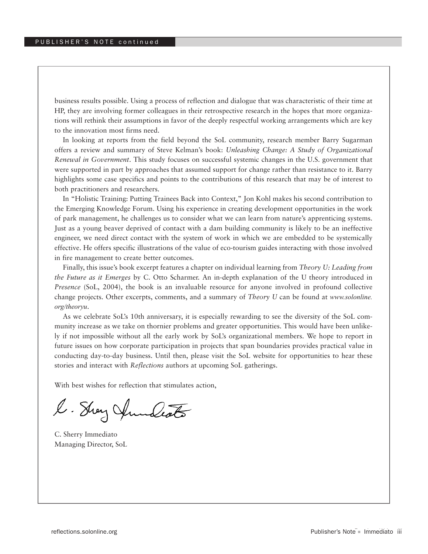business results possible. Using a process of reflection and dialogue that was characteristic of their time at HP, they are involving former colleagues in their retrospective research in the hopes that more organizations will rethink their assumptions in favor of the deeply respectful working arrangements which are key to the innovation most firms need.

In looking at reports from the field beyond the SoL community, research member Barry Sugarman offers a review and summary of Steve Kelman's book: *Unleashing Change: A Study of Organizational Renewal in Government*. This study focuses on successful systemic changes in the U.S. government that were supported in part by approaches that assumed support for change rather than resistance to it. Barry highlights some case specifics and points to the contributions of this research that may be of interest to both practitioners and researchers.

In "Holistic Training: Putting Trainees Back into Context," Jon Kohl makes his second contribution to the Emerging Knowledge Forum. Using his experience in creating development opportunities in the work of park management, he challenges us to consider what we can learn from nature's apprenticing systems. Just as a young beaver deprived of contact with a dam building community is likely to be an ineffective engineer, we need direct contact with the system of work in which we are embedded to be systemically effective. He offers specific illustrations of the value of eco-tourism guides interacting with those involved in fire management to create better outcomes.

Finally, this issue's book excerpt features a chapter on individual learning from *Theory U: Leading from the Future as it Emerges* by C. Otto Scharmer. An in-depth explanation of the U theory introduced in *Presence* (SoL, 2004), the book is an invaluable resource for anyone involved in profound collective change projects. Other excerpts, comments, and a summary of *Theory U* can be found at *www.solonline. org/theoryu*.

As we celebrate SoL's 10th anniversary, it is especially rewarding to see the diversity of the SoL community increase as we take on thornier problems and greater opportunities. This would have been unlikely if not impossible without all the early work by SoL's organizational members. We hope to report in future issues on how corporate participation in projects that span boundaries provides practical value in conducting day-to-day business. Until then, please visit the SoL website for opportunities to hear these stories and interact with *Reflections* authors at upcoming SoL gatherings.

With best wishes for reflection that stimulates action,

l. Stray Annalests

C. Sherry Immediato Managing Director, SoL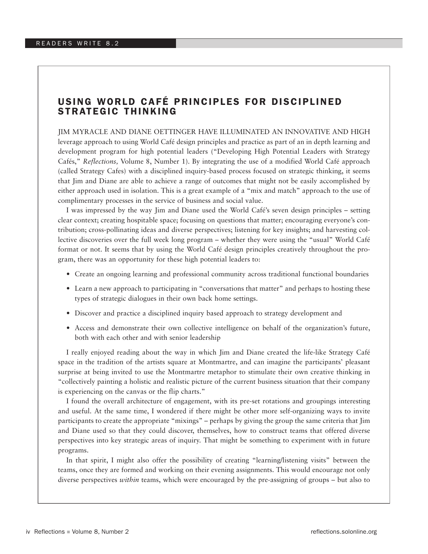# Using World Café Principles for Disciplined Strategic Thinking

Jim Myracle and Diane Oettinger have illuminated an innovative and high leverage approach to using World Café design principles and practice as part of an in depth learning and development program for high potential leaders ("Developing High Potential Leaders with Strategy Cafés," *Reflections,* Volume 8, Number 1). By integrating the use of a modified World Café approach (called Strategy Cafes) with a disciplined inquiry-based process focused on strategic thinking, it seems that Jim and Diane are able to achieve a range of outcomes that might not be easily accomplished by either approach used in isolation. This is a great example of a "mix and match" approach to the use of complimentary processes in the service of business and social value.

I was impressed by the way Jim and Diane used the World Café's seven design principles – setting clear context; creating hospitable space; focusing on questions that matter; encouraging everyone's contribution; cross-pollinating ideas and diverse perspectives; listening for key insights; and harvesting collective discoveries over the full week long program – whether they were using the "usual" World Café format or not. It seems that by using the World Café design principles creatively throughout the program, there was an opportunity for these high potential leaders to:

- Create an ongoing learning and professional community across traditional functional boundaries
- Learn a new approach to participating in "conversations that matter" and perhaps to hosting these types of strategic dialogues in their own back home settings.
- Discover and practice a disciplined inquiry based approach to strategy development and
- Access and demonstrate their own collective intelligence on behalf of the organization's future, both with each other and with senior leadership

I really enjoyed reading about the way in which Jim and Diane created the life-like Strategy Café space in the tradition of the artists square at Montmartre, and can imagine the participants' pleasant surprise at being invited to use the Montmartre metaphor to stimulate their own creative thinking in "collectively painting a holistic and realistic picture of the current business situation that their company is experiencing on the canvas or the flip charts."

I found the overall architecture of engagement, with its pre-set rotations and groupings interesting and useful. At the same time, I wondered if there might be other more self-organizing ways to invite participants to create the appropriate "mixings" – perhaps by giving the group the same criteria that Jim and Diane used so that they could discover, themselves, how to construct teams that offered diverse perspectives into key strategic areas of inquiry. That might be something to experiment with in future programs.

In that spirit, I might also offer the possibility of creating "learning/listening visits" between the teams, once they are formed and working on their evening assignments. This would encourage not only diverse perspectives *within* teams, which were encouraged by the pre-assigning of groups – but also to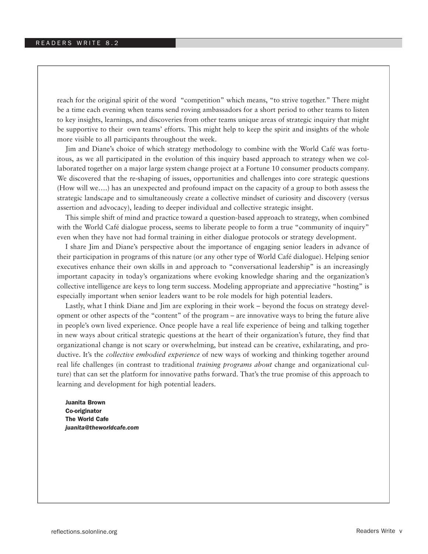reach for the original spirit of the word "competition" which means, "to strive together." There might be a time each evening when teams send roving ambassadors for a short period to other teams to listen to key insights, learnings, and discoveries from other teams unique areas of strategic inquiry that might be supportive to their own teams' efforts. This might help to keep the spirit and insights of the whole more visible to all participants throughout the week.

Jim and Diane's choice of which strategy methodology to combine with the World Café was fortuitous, as we all participated in the evolution of this inquiry based approach to strategy when we collaborated together on a major large system change project at a Fortune 10 consumer products company. We discovered that the re-shaping of issues, opportunities and challenges into core strategic questions (How will we….) has an unexpected and profound impact on the capacity of a group to both assess the strategic landscape and to simultaneously create a collective mindset of curiosity and discovery (versus assertion and advocacy), leading to deeper individual and collective strategic insight.

This simple shift of mind and practice toward a question-based approach to strategy, when combined with the World Café dialogue process, seems to liberate people to form a true "community of inquiry" even when they have not had formal training in either dialogue protocols or strategy development.

I share Jim and Diane's perspective about the importance of engaging senior leaders in advance of their participation in programs of this nature (or any other type of World Café dialogue). Helping senior executives enhance their own skills in and approach to "conversational leadership" is an increasingly important capacity in today's organizations where evoking knowledge sharing and the organization's collective intelligence are keys to long term success. Modeling appropriate and appreciative "hosting" is especially important when senior leaders want to be role models for high potential leaders.

Lastly, what I think Diane and Jim are exploring in their work – beyond the focus on strategy development or other aspects of the "content" of the program – are innovative ways to bring the future alive in people's own lived experience. Once people have a real life experience of being and talking together in new ways about critical strategic questions at the heart of their organization's future, they find that organizational change is not scary or overwhelming, but instead can be creative, exhilarating, and productive. It's the *collective embodied experience* of new ways of working and thinking together around real life challenges (in contrast to traditional *training programs about* change and organizational culture) that can set the platform for innovative paths forward. That's the true promise of this approach to learning and development for high potential leaders.

Juanita Brown Co-originator The World Cafe *juanita@theworldcafe.com*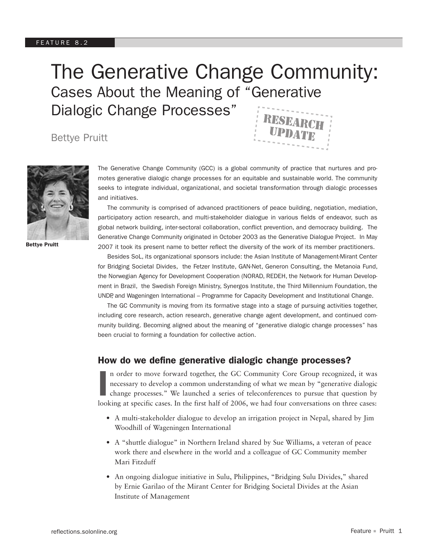# The Generative Change Community: Cases About the Meaning of "Generative Dialogic Change Processes"

# Bettye Pruitt





Bettye Pruitt

The Generative Change Community (GCC) is a global community of practice that nurtures and promotes generative dialogic change processes for an equitable and sustainable world. The community seeks to integrate individual, organizational, and societal transformation through dialogic processes and initiatives.

 The community is comprised of advanced practitioners of peace building, negotiation, mediation, participatory action research, and multi-stakeholder dialogue in various fields of endeavor, such as global network building, inter-sectoral collaboration, conflict prevention, and democracy building. The Generative Change Community originated in October 2003 as the Generative Dialogue Project. In May 2007 it took its present name to better reflect the diversity of the work of its member practitioners.

 Besides SoL, its organizational sponsors include: the Asian Institute of Management-Mirant Center for Bridging Societal Divides, the Fetzer Institute, GAN-Net, Generon Consulting, the Metanoia Fund, the Norwegian Agency for Development Cooperation (NORAD, REDEH, the Network for Human Development in Brazil, the Swedish Foreign Ministry, Synergos Institute, the Third Millennium Foundation, the UNDP, and Wageningen International – Programme for Capacity Development and Institutional Change.

 The GC Community is moving from its formative stage into a stage of pursuing activities together, including core research, action research, generative change agent development, and continued community building. Becoming aligned about the meaning of "generative dialogic change processes" has been crucial to forming a foundation for collective action.

# How do we define generative dialogic change processes?

In order to move forward together, the GC Community Core Group recognized, it was necessary to develop a common understanding of what we mean by "generative dialogic change processes." We launched a series of teleconferenc n order to move forward together, the GC Community Core Group recognized, it was necessary to develop a common understanding of what we mean by "generative dialogic change processes." We launched a series of teleconferences to pursue that question by

- A multi-stakeholder dialogue to develop an irrigation project in Nepal, shared by Jim Woodhill of Wageningen International
- A "shuttle dialogue" in Northern Ireland shared by Sue Williams, a veteran of peace work there and elsewhere in the world and a colleague of GC Community member Mari Fitzduff
- An ongoing dialogue initiative in Sulu, Philippines, "Bridging Sulu Divides," shared by Ernie Garilao of the Mirant Center for Bridging Societal Divides at the Asian Institute of Management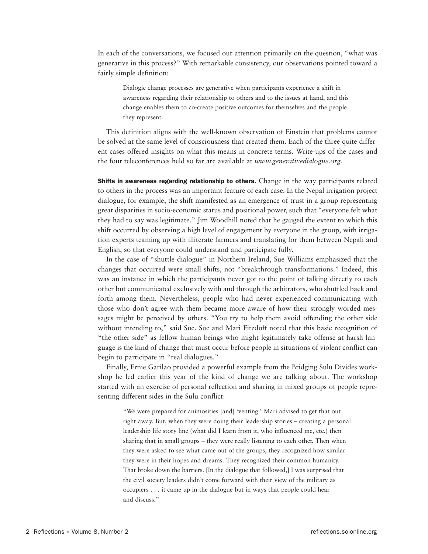In each of the conversations, we focused our attention primarily on the question, "what was generative in this process?" With remarkable consistency, our observations pointed toward a fairly simple definition:

Dialogic change processes are generative when participants experience a shift in awareness regarding their relationship to others and to the issues at hand, and this change enables them to co-create positive outcomes for themselves and the people they represent.

This definition aligns with the well-known observation of Einstein that problems cannot be solved at the same level of consciousness that created them. Each of the three quite different cases offered insights on what this means in concrete terms. Write-ups of the cases and the four teleconferences held so far are available at *www.generativedialogue.org.*

Shifts in awareness regarding relationship to others. Change in the way participants related to others in the process was an important feature of each case. In the Nepal irrigation project dialogue, for example, the shift manifested as an emergence of trust in a group representing great disparities in socio-economic status and positional power, such that "everyone felt what they had to say was legitimate." Jim Woodhill noted that he gauged the extent to which this shift occurred by observing a high level of engagement by everyone in the group, with irrigation experts teaming up with illiterate farmers and translating for them between Nepali and English, so that everyone could understand and participate fully.

In the case of "shuttle dialogue" in Northern Ireland, Sue Williams emphasized that the changes that occurred were small shifts, not "breakthrough transformations." Indeed, this was an instance in which the participants never got to the point of talking directly to each other but communicated exclusively with and through the arbitrators, who shuttled back and forth among them. Nevertheless, people who had never experienced communicating with those who don't agree with them became more aware of how their strongly worded messages might be perceived by others. "You try to help them avoid offending the other side without intending to," said Sue. Sue and Mari Fitzduff noted that this basic recognition of "the other side" as fellow human beings who might legitimately take offense at harsh language is the kind of change that must occur before people in situations of violent conflict can begin to participate in "real dialogues."

Finally, Ernie Garilao provided a powerful example from the Bridging Sulu Divides workshop he led earlier this year of the kind of change we are talking about. The workshop started with an exercise of personal reflection and sharing in mixed groups of people representing different sides in the Sulu conflict:

"We were prepared for animosities [and] 'venting.' Mari advised to get that out right away. But, when they were doing their leadership stories – creating a personal leadership life story line (what did I learn from it, who influenced me, etc.) then sharing that in small groups – they were really listening to each other. Then when they were asked to see what came out of the groups, they recognized how similar they were in their hopes and dreams. They recognized their common humanity. That broke down the barriers. [In the dialogue that followed,] I was surprised that the civil society leaders didn't come forward with their view of the military as occupiers . . . it came up in the dialogue but in ways that people could hear and discuss."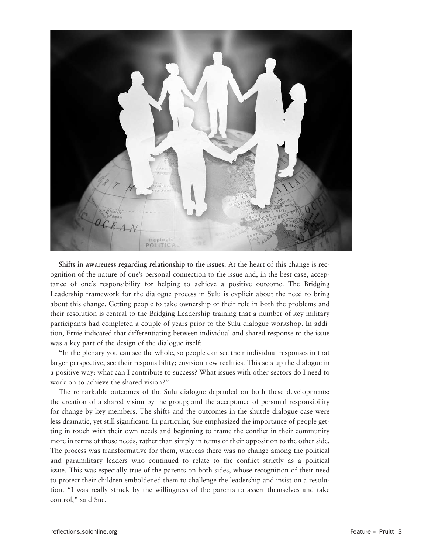

**Shifts in awareness regarding relationship to the issues.** At the heart of this change is recognition of the nature of one's personal connection to the issue and, in the best case, acceptance of one's responsibility for helping to achieve a positive outcome. The Bridging Leadership framework for the dialogue process in Sulu is explicit about the need to bring about this change. Getting people to take ownership of their role in both the problems and their resolution is central to the Bridging Leadership training that a number of key military participants had completed a couple of years prior to the Sulu dialogue workshop. In addition, Ernie indicated that differentiating between individual and shared response to the issue was a key part of the design of the dialogue itself:

"In the plenary you can see the whole, so people can see their individual responses in that larger perspective, see their responsibility; envision new realities. This sets up the dialogue in a positive way: what can I contribute to success? What issues with other sectors do I need to work on to achieve the shared vision?"

The remarkable outcomes of the Sulu dialogue depended on both these developments: the creation of a shared vision by the group; and the acceptance of personal responsibility for change by key members. The shifts and the outcomes in the shuttle dialogue case were less dramatic, yet still significant. In particular, Sue emphasized the importance of people getting in touch with their own needs and beginning to frame the conflict in their community more in terms of those needs, rather than simply in terms of their opposition to the other side. The process was transformative for them, whereas there was no change among the political and paramilitary leaders who continued to relate to the conflict strictly as a political issue. This was especially true of the parents on both sides, whose recognition of their need to protect their children emboldened them to challenge the leadership and insist on a resolution. "I was really struck by the willingness of the parents to assert themselves and take control," said Sue.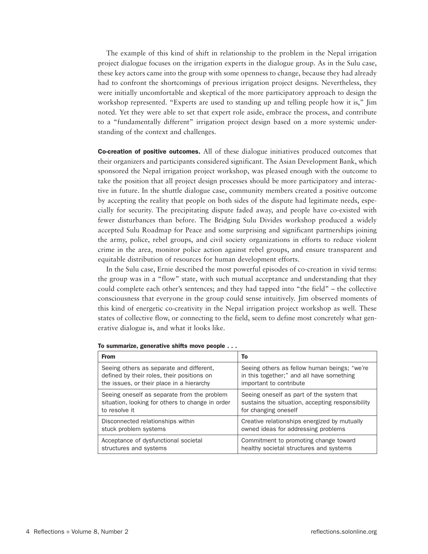The example of this kind of shift in relationship to the problem in the Nepal irrigation project dialogue focuses on the irrigation experts in the dialogue group. As in the Sulu case, these key actors came into the group with some openness to change, because they had already had to confront the shortcomings of previous irrigation project designs. Nevertheless, they were initially uncomfortable and skeptical of the more participatory approach to design the workshop represented. "Experts are used to standing up and telling people how it is," Jim noted. Yet they were able to set that expert role aside, embrace the process, and contribute to a "fundamentally different" irrigation project design based on a more systemic understanding of the context and challenges.

Co-creation of positive outcomes. All of these dialogue initiatives produced outcomes that their organizers and participants considered significant. The Asian Development Bank, which sponsored the Nepal irrigation project workshop, was pleased enough with the outcome to take the position that all project design processes should be more participatory and interactive in future. In the shuttle dialogue case, community members created a positive outcome by accepting the reality that people on both sides of the dispute had legitimate needs, especially for security. The precipitating dispute faded away, and people have co-existed with fewer disturbances than before. The Bridging Sulu Divides workshop produced a widely accepted Sulu Roadmap for Peace and some surprising and significant partnerships joining the army, police, rebel groups, and civil society organizations in efforts to reduce violent crime in the area, monitor police action against rebel groups, and ensure transparent and equitable distribution of resources for human development efforts.

In the Sulu case, Ernie described the most powerful episodes of co-creation in vivid terms: the group was in a "flow" state, with such mutual acceptance and understanding that they could complete each other's sentences; and they had tapped into "the field" – the collective consciousness that everyone in the group could sense intuitively. Jim observed moments of this kind of energetic co-creativity in the Nepal irrigation project workshop as well. These states of collective flow, or connecting to the field, seem to define most concretely what generative dialogue is, and what it looks like.

| <b>From</b>                                      | To                                               |
|--------------------------------------------------|--------------------------------------------------|
| Seeing others as separate and different,         | Seeing others as fellow human beings; "we're     |
| defined by their roles, their positions on       | in this together;" and all have something        |
| the issues, or their place in a hierarchy        | important to contribute                          |
| Seeing oneself as separate from the problem      | Seeing oneself as part of the system that        |
| situation, looking for others to change in order | sustains the situation, accepting responsibility |
| to resolve it                                    | for changing oneself                             |
| Disconnected relationships within                | Creative relationships energized by mutually     |
| stuck problem systems                            | owned ideas for addressing problems              |
| Acceptance of dysfunctional societal             | Commitment to promoting change toward            |
| structures and systems                           | healthy societal structures and systems          |

|  | To summarize, generative shifts move people |  |  |  |  |  |  |  |
|--|---------------------------------------------|--|--|--|--|--|--|--|
|--|---------------------------------------------|--|--|--|--|--|--|--|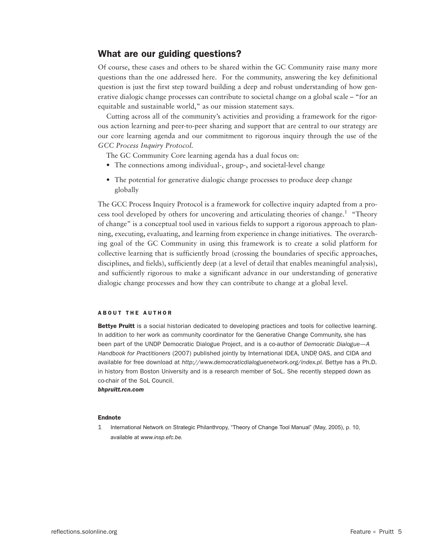## What are our guiding questions?

Of course, these cases and others to be shared within the GC Community raise many more questions than the one addressed here. For the community, answering the key definitional question is just the first step toward building a deep and robust understanding of how generative dialogic change processes can contribute to societal change on a global scale – "for an equitable and sustainable world," as our mission statement says.

Cutting across all of the community's activities and providing a framework for the rigorous action learning and peer-to-peer sharing and support that are central to our strategy are our core learning agenda and our commitment to rigorous inquiry through the use of the *GCC Process Inquiry Protocol.*

The GC Community Core learning agenda has a dual focus on:

- The connections among individual-, group-, and societal-level change
- The potential for generative dialogic change processes to produce deep change globally

The GCC Process Inquiry Protocol is a framework for collective inquiry adapted from a process tool developed by others for uncovering and articulating theories of change.<sup>1</sup> "Theory of change" is a conceptual tool used in various fields to support a rigorous approach to planning, executing, evaluating, and learning from experience in change initiatives. The overarching goal of the GC Community in using this framework is to create a solid platform for collective learning that is sufficiently broad (crossing the boundaries of specific approaches, disciplines, and fields), sufficiently deep (at a level of detail that enables meaningful analysis), and sufficiently rigorous to make a significant advance in our understanding of generative dialogic change processes and how they can contribute to change at a global level.

#### **ABOUT THE AUTHOR**

Bettye Pruitt is a social historian dedicated to developing practices and tools for collective learning. In addition to her work as community coordinator for the Generative Change Community, she has been part of the UNDP Democratic Dialogue Project, and is a co-author of *Democratic Dialogue—A Handbook for Practitioners* (2007) published jointly by International IDEA, UNDP, OAS, and CIDA and available for free download at *http://www.democraticdialoguenetwork.org/index.pl.* Bettye has a Ph.D. in history from Boston University and is a research member of SoL. She recently stepped down as co-chair of the SoL Council.

#### *bhpruitt.rcn.com*

#### Endnote

1 International Network on Strategic Philanthropy, "Theory of Change Tool Manual" (May, 2005), p. 10, available at *www.insp.efc.be.*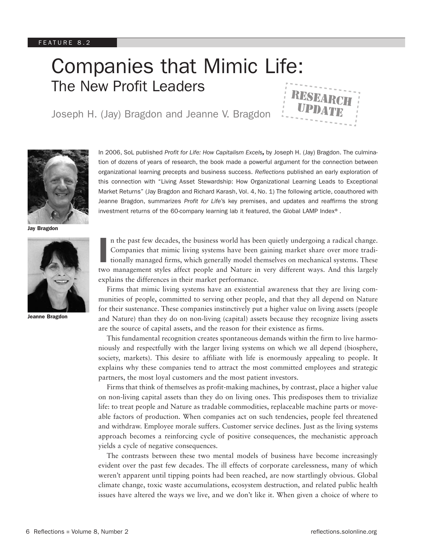# Companies that Mimic Life: The New Profit Leaders RESEARC





In 2006, SoL published *Profit for Life: How Capitalism Excels,* by Joseph H. (Jay) Bragdon. The culmination of dozens of years of research, the book made a powerful argument for the connection between organizational learning precepts and business success. *Reflections* published an early exploration of this connection with "Living Asset Stewardship: How Organizational Learning Leads to Exceptional Market Returns" (Jay Bragdon and Richard Karash, Vol. 4, No. 1) The following article, coauthored with Jeanne Bragdon, summarizes *Profit for Life*'s key premises, and updates and reaffirms the strong investment returns of the 60-company learning lab it featured, the Global LAMP Index®.

**IDD** 

Jay Bragdon



Jeanne Bragdon

In the past few decades, the business world has been quietly undergoing a radical change.<br>Companies that mimic living systems have been gaining market share over more tradi-<br>tionally managed firms, which generally model th n the past few decades, the business world has been quietly undergoing a radical change. Companies that mimic living systems have been gaining market share over more traditionally managed firms, which generally model themselves on mechanical systems. These explains the differences in their market performance.

Firms that mimic living systems have an existential awareness that they are living communities of people, committed to serving other people, and that they all depend on Nature for their sustenance. These companies instinctively put a higher value on living assets (people and Nature) than they do on non-living (capital) assets because they recognize living assets are the source of capital assets, and the reason for their existence as firms.

This fundamental recognition creates spontaneous demands within the firm to live harmoniously and respectfully with the larger living systems on which we all depend (biosphere, society, markets). This desire to affiliate with life is enormously appealing to people. It explains why these companies tend to attract the most committed employees and strategic partners, the most loyal customers and the most patient investors.

Firms that think of themselves as profit-making machines, by contrast, place a higher value on non-living capital assets than they do on living ones. This predisposes them to trivialize life: to treat people and Nature as tradable commodities, replaceable machine parts or moveable factors of production. When companies act on such tendencies, people feel threatened and withdraw. Employee morale suffers. Customer service declines. Just as the living systems approach becomes a reinforcing cycle of positive consequences, the mechanistic approach yields a cycle of negative consequences.

The contrasts between these two mental models of business have become increasingly evident over the past few decades. The ill effects of corporate carelessness, many of which weren't apparent until tipping points had been reached, are now startlingly obvious. Global climate change, toxic waste accumulations, ecosystem destruction, and related public health issues have altered the ways we live, and we don't like it. When given a choice of where to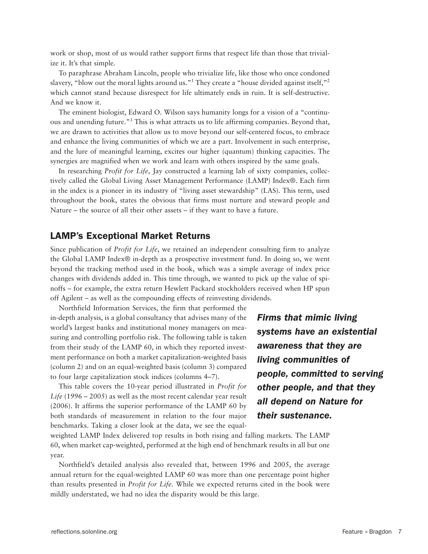work or shop, most of us would rather support firms that respect life than those that trivialize it. It's that simple.

To paraphrase Abraham Lincoln, people who trivialize life, like those who once condoned slavery, "blow out the moral lights around us."<sup>1</sup> They create a "house divided against itself,"<sup>2</sup> which cannot stand because disrespect for life ultimately ends in ruin. It is self-destructive. And we know it.

The eminent biologist, Edward O. Wilson says humanity longs for a vision of a "continuous and unending future."<sup>3</sup> This is what attracts us to life affirming companies. Beyond that, we are drawn to activities that allow us to move beyond our self-centered focus, to embrace and enhance the living communities of which we are a part. Involvement in such enterprise, and the lure of meaningful learning, excites our higher (quantum) thinking capacities. The synergies are magnified when we work and learn with others inspired by the same goals.

In researching *Profit for Life*, Jay constructed a learning lab of sixty companies, collectively called the Global Living Asset Management Performance (LAMP) Index®. Each firm in the index is a pioneer in its industry of "living asset stewardship" (LAS). This term, used throughout the book, states the obvious that firms must nurture and steward people and Nature – the source of all their other assets – if they want to have a future.

## LAMP's Exceptional Market Returns

Since publication of *Profit for Life*, we retained an independent consulting firm to analyze the Global LAMP Index® in-depth as a prospective investment fund. In doing so, we went beyond the tracking method used in the book, which was a simple average of index price changes with dividends added in. This time through, we wanted to pick up the value of spinoffs – for example, the extra return Hewlett Packard stockholders received when HP spun off Agilent – as well as the compounding effects of reinvesting dividends.

Northfield Information Services, the firm that performed the in-depth analysis, is a global consultancy that advises many of the world's largest banks and institutional money managers on measuring and controlling portfolio risk. The following table is taken from their study of the LAMP 60, in which they reported investment performance on both a market capitalization-weighted basis (column 2) and on an equal-weighted basis (column 3) compared to four large capitalization stock indices (columns 4–7).

This table covers the 10-year period illustrated in *Profit for Life* (1996 – 2005) as well as the most recent calendar year result (2006). It affirms the superior performance of the LAMP 60 by both standards of measurement in relation to the four major benchmarks. Taking a closer look at the data, we see the equal-

*Firms that mimic living systems have an existential awareness that they are living communities of people, committed to serving other people, and that they all depend on Nature for their sustenance.*

weighted LAMP Index delivered top results in both rising and falling markets. The LAMP 60, when market cap-weighted, performed at the high end of benchmark results in all but one year.

Northfield's detailed analysis also revealed that, between 1996 and 2005, the average annual return for the equal-weighted LAMP 60 was more than one percentage point higher than results presented in *Profit for Life*. While we expected returns cited in the book were mildly understated, we had no idea the disparity would be this large.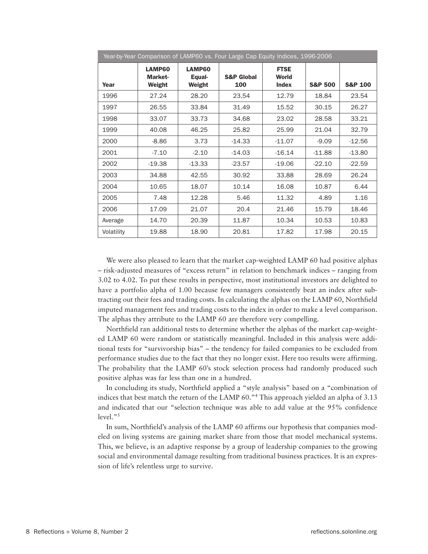| Year-by-Year Comparison of LAMP60 vs. Four Large Cap Equity Indices, 1996-2006 |                                    |                                   |                              |                                             |                    |                    |  |  |  |
|--------------------------------------------------------------------------------|------------------------------------|-----------------------------------|------------------------------|---------------------------------------------|--------------------|--------------------|--|--|--|
| Year                                                                           | LAMP60<br><b>Market-</b><br>Weight | <b>LAMP60</b><br>Equal-<br>Weight | <b>S&amp;P Global</b><br>100 | <b>FTSE</b><br><b>World</b><br><b>Index</b> | <b>S&amp;P 500</b> | <b>S&amp;P 100</b> |  |  |  |
| 1996                                                                           | 27.24                              | 28.20                             | 23.54                        | 12.79                                       | 18.84              | 23.54              |  |  |  |
| 1997                                                                           | 26.55                              | 33.84                             | 31.49                        | 15.52                                       | 30.15              | 26.27              |  |  |  |
| 1998                                                                           | 33.07                              | 33.73                             | 34.68                        | 23.02                                       | 28.58              | 33.21              |  |  |  |
| 1999                                                                           | 40.08                              | 46.25                             | 25.82                        | 25.99                                       | 21.04              | 32.79              |  |  |  |
| 2000                                                                           | $-8.86$                            | 3.73                              | $-14.33$                     | $-11.07$                                    | $-9.09$            | $-12.56$           |  |  |  |
| 2001                                                                           | $-7.10$                            | $-2.10$                           | $-14.03$                     | $-16.14$                                    | $-11.88$           | $-13.80$           |  |  |  |
| 2002                                                                           | $-19.38$                           | $-13.33$                          | $-23.57$                     | $-19.06$                                    | $-22.10$           | $-22.59$           |  |  |  |
| 2003                                                                           | 34.88                              | 42.55                             | 30.92                        | 33.88                                       | 28.69              | 26.24              |  |  |  |
| 2004                                                                           | 10.65                              | 18.07                             | 10.14                        | 16.08                                       | 10.87              | 6.44               |  |  |  |
| 2005                                                                           | 7.48                               | 12.28                             | 5.46                         | 11.32                                       | 4.89               | 1.16               |  |  |  |
| 2006                                                                           | 17.09                              | 21.07                             | 20.4                         | 21.46                                       | 15.79              | 18.46              |  |  |  |
| Average                                                                        | 14.70                              | 20.39                             | 11.87                        | 10.34                                       | 10.53              | 10.83              |  |  |  |
| Volatility                                                                     | 19.88                              | 18.90                             | 20.81                        | 17.82                                       | 17.98              | 20.15              |  |  |  |

We were also pleased to learn that the market cap-weighted LAMP 60 had positive alphas – risk-adjusted measures of "excess return" in relation to benchmark indices – ranging from 3.02 to 4.02. To put these results in perspective, most institutional investors are delighted to have a portfolio alpha of 1.00 because few managers consistently beat an index after subtracting out their fees and trading costs. In calculating the alphas on the LAMP 60, Northfield imputed management fees and trading costs to the index in order to make a level comparison. The alphas they attribute to the LAMP 60 are therefore very compelling.

Northfield ran additional tests to determine whether the alphas of the market cap-weighted LAMP 60 were random or statistically meaningful. Included in this analysis were additional tests for "survivorship bias" – the tendency for failed companies to be excluded from performance studies due to the fact that they no longer exist. Here too results were affirming. The probability that the LAMP 60's stock selection process had randomly produced such positive alphas was far less than one in a hundred.

In concluding its study, Northfield applied a "style analysis" based on a "combination of indices that best match the return of the LAMP 60."<sup>4</sup> This approach yielded an alpha of 3.13 and indicated that our "selection technique was able to add value at the 95% confidence level."5

In sum, Northfield's analysis of the LAMP 60 affirms our hypothesis that companies modeled on living systems are gaining market share from those that model mechanical systems. This, we believe, is an adaptive response by a group of leadership companies to the growing social and environmental damage resulting from traditional business practices. It is an expression of life's relentless urge to survive.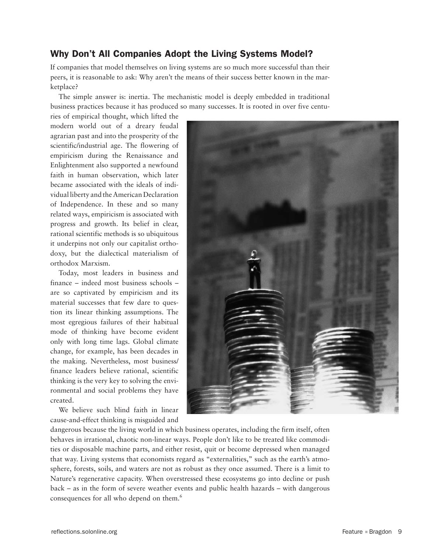# Why Don't All Companies Adopt the Living Systems Model?

If companies that model themselves on living systems are so much more successful than their peers, it is reasonable to ask: Why aren't the means of their success better known in the marketplace?

The simple answer is: inertia. The mechanistic model is deeply embedded in traditional business practices because it has produced so many successes. It is rooted in over five centu-

ries of empirical thought, which lifted the modern world out of a dreary feudal agrarian past and into the prosperity of the scientific/industrial age. The flowering of empiricism during the Renaissance and Enlightenment also supported a newfound faith in human observation, which later became associated with the ideals of individual liberty and the American Declaration of Independence. In these and so many related ways, empiricism is associated with progress and growth. Its belief in clear, rational scientific methods is so ubiquitous it underpins not only our capitalist orthodoxy, but the dialectical materialism of orthodox Marxism.

Today, most leaders in business and finance – indeed most business schools – are so captivated by empiricism and its material successes that few dare to question its linear thinking assumptions. The most egregious failures of their habitual mode of thinking have become evident only with long time lags. Global climate change, for example, has been decades in the making. Nevertheless, most business/ finance leaders believe rational, scientific thinking is the very key to solving the environmental and social problems they have created.

We believe such blind faith in linear cause-and-effect thinking is misguided and



dangerous because the living world in which business operates, including the firm itself, often behaves in irrational, chaotic non-linear ways. People don't like to be treated like commodities or disposable machine parts, and either resist, quit or become depressed when managed that way. Living systems that economists regard as "externalities," such as the earth's atmosphere, forests, soils, and waters are not as robust as they once assumed. There is a limit to Nature's regenerative capacity. When overstressed these ecosystems go into decline or push back – as in the form of severe weather events and public health hazards – with dangerous consequences for all who depend on them.6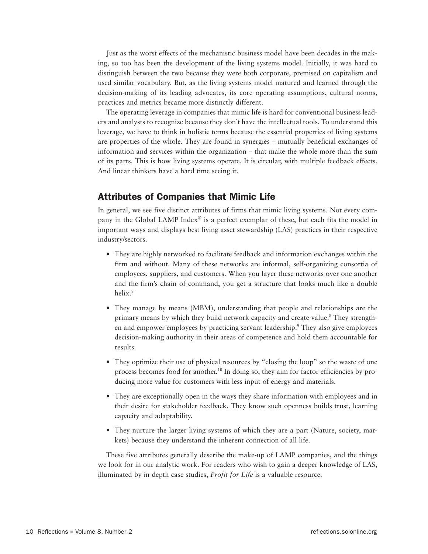Just as the worst effects of the mechanistic business model have been decades in the making, so too has been the development of the living systems model. Initially, it was hard to distinguish between the two because they were both corporate, premised on capitalism and used similar vocabulary. But, as the living systems model matured and learned through the decision-making of its leading advocates, its core operating assumptions, cultural norms, practices and metrics became more distinctly different.

The operating leverage in companies that mimic life is hard for conventional business leaders and analysts to recognize because they don't have the intellectual tools. To understand this leverage, we have to think in holistic terms because the essential properties of living systems are properties of the whole. They are found in synergies – mutually beneficial exchanges of information and services within the organization – that make the whole more than the sum of its parts. This is how living systems operate. It is circular, with multiple feedback effects. And linear thinkers have a hard time seeing it.

# Attributes of Companies that Mimic Life

In general, we see five distinct attributes of firms that mimic living systems. Not every company in the Global LAMP Index® is a perfect exemplar of these, but each fits the model in important ways and displays best living asset stewardship (LAS) practices in their respective industry/sectors.

- They are highly networked to facilitate feedback and information exchanges within the firm and without. Many of these networks are informal, self-organizing consortia of employees, suppliers, and customers. When you layer these networks over one another and the firm's chain of command, you get a structure that looks much like a double helix.<sup>7</sup>
- They manage by means (MBM), understanding that people and relationships are the primary means by which they build network capacity and create value.<sup>8</sup> They strengthen and empower employees by practicing servant leadership.<sup>9</sup> They also give employees decision-making authority in their areas of competence and hold them accountable for results.
- They optimize their use of physical resources by "closing the loop" so the waste of one process becomes food for another.<sup>10</sup> In doing so, they aim for factor efficiencies by producing more value for customers with less input of energy and materials.
- They are exceptionally open in the ways they share information with employees and in their desire for stakeholder feedback. They know such openness builds trust, learning capacity and adaptability.
- They nurture the larger living systems of which they are a part (Nature, society, markets) because they understand the inherent connection of all life.

These five attributes generally describe the make-up of LAMP companies, and the things we look for in our analytic work. For readers who wish to gain a deeper knowledge of LAS, illuminated by in-depth case studies, *Profit for Life* is a valuable resource.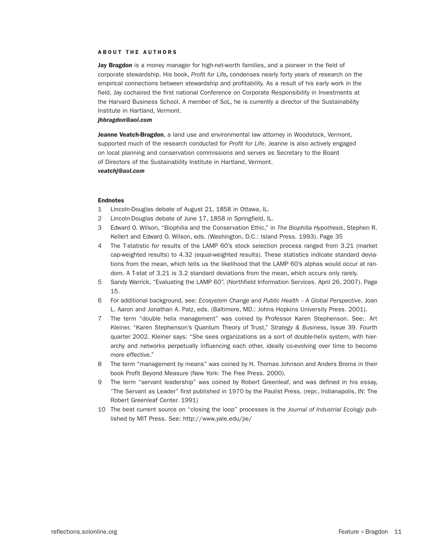#### **ABOUT THE AUTHORS**

Jay Bragdon is a money manager for high-net-worth families, and a pioneer in the field of corporate stewardship. His book, *Profit for Life,* condenses nearly forty years of research on the empirical connections between stewardship and profitability. As a result of his early work in the field, Jay cochaired the first national Conference on Corporate Responsibility in Investments at the Harvard Business School. A member of SoL, he is currently a director of the Sustainability Institute in Hartland, Vermont.

#### *jhbragdon@aol.com*

Jeanne Veatch-Bragdon, a land use and environmental law attorney in Woodstock, Vermont, supported much of the research conducted for *Profit for Life*. Jeanne is also actively engaged on local planning and conservation commissions and serves as Secretary to the Board of Directors of the Sustainability Institute in Hartland, Vermont.

#### *veatchj@aol.com*

#### Endnotes

- 1 Lincoln-Douglas debate of August 21, 1858 in Ottawa, IL.
- 2 Lincoln-Douglas debate of June 17, 1858 in Springfield, IL.
- 3 Edward O. Wilson, "Biophilia and the Conservation Ethic," in *The Biophilia Hypothesis*, Stephen R. Kellert and Edward O. Wilson, eds. (Washington, D.C.: Island Press. 1993). Page 35
- 4 The T-statistic for results of the LAMP 60's stock selection process ranged from 3.21 (market cap-weighted results) to 4.32 (equal-weighted results). These statistics indicate standard deviations from the mean, which tells us the likelihood that the LAMP 60's alphas would occur at random. A T-stat of 3.21 is 3.2 standard deviations from the mean, which occurs only rarely.
- 5 Sandy Warrick, "Evaluating the LAMP 60". (Northfield Information Services. April 26, 2007). Page 15.
- 6 For additional background, see: *Ecosystem Change and Public Health A Global Perspective*. Joan L. Aaron and Jonathan A. Patz, eds. (Baltimore, MD.: Johns Hopkins University Press. 2001).
- 7 The term "double helix management" was coined by Professor Karen Stephenson. See:. Art Kleiner, "Karen Stephenson's Quantum Theory of Trust," *Strategy & Business*, Issue 39. Fourth quarter 2002. Kleiner says: "She sees organizations as a sort of double-helix system, with hierarchy and networks perpetually influencing each other, ideally co-evolving over time to become more effective."
- 8 The term "management by means" was coined by H. Thomas Johnson and Anders Broms in their book Profit Beyond Measure (New York: The Free Press. 2000).
- 9 The term "servant leadership" was coined by Robert Greenleaf, and was defined in his essay, "The Servant as Leader" first published in 1970 by the Paulist Press. (repr., Indianapolis, IN: The Robert Greenleaf Center. 1991)
- 10 The best current source on "closing the loop" processes is the *Journal of Industrial Ecology* published by MIT Press. See: http://www.yale.edu/jie/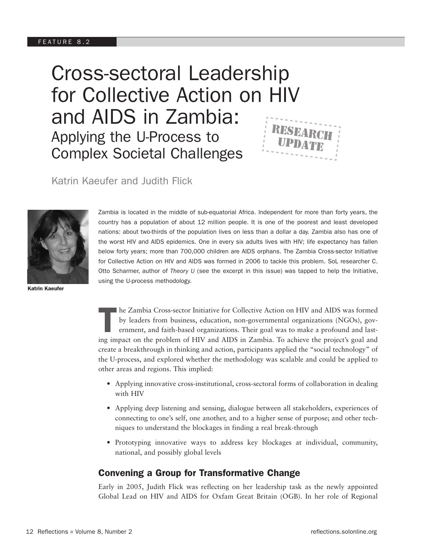#### FEATURE 8.2

# Cross-sectoral Leadership for Collective Action on HIV and AIDS in Zambia: Applying the U-Process to Complex Societal Challenges RESEAR UPDATE

Katrin Kaeufer and Judith Flick



Katrin Kaeufer

Zambia is located in the middle of sub-equatorial Africa. Independent for more than forty years, the country has a population of about 12 million people. It is one of the poorest and least developed nations: about two-thirds of the population lives on less than a dollar a day. Zambia also has one of the worst HIV and AIDS epidemics. One in every six adults lives with HIV; life expectancy has fallen below forty years; more than 700,000 children are AIDS orphans. The Zambia Cross-sector Initiative for Collective Action on HIV and AIDS was formed in 2006 to tackle this problem. SoL researcher C. Otto Scharmer, author of *Theory U* (see the excerpt in this issue) was tapped to help the Initiative, using the U-process methodology.

T he Zambia Cross-sector Initiative for Collective Action on HIV and AIDS was formed by leaders from business, education, non-governmental organizations (NGOs), government, and faith-based organizations. Their goal was to make a profound and lasting impact on the problem of HIV and AIDS in Zambia. To achieve the project's goal and create a breakthrough in thinking and action, participants applied the "social technology" of the U-process, and explored whether the methodology was scalable and could be applied to other areas and regions. This implied:

- Applying innovative cross-institutional, cross-sectoral forms of collaboration in dealing with HIV
- Applying deep listening and sensing, dialogue between all stakeholders, experiences of connecting to one's self, one another, and to a higher sense of purpose; and other techniques to understand the blockages in finding a real break-through
- Prototyping innovative ways to address key blockages at individual, community, national, and possibly global levels

# Convening a Group for Transformative Change

Early in 2005, Judith Flick was reflecting on her leadership task as the newly appointed Global Lead on HIV and AIDS for Oxfam Great Britain (OGB). In her role of Regional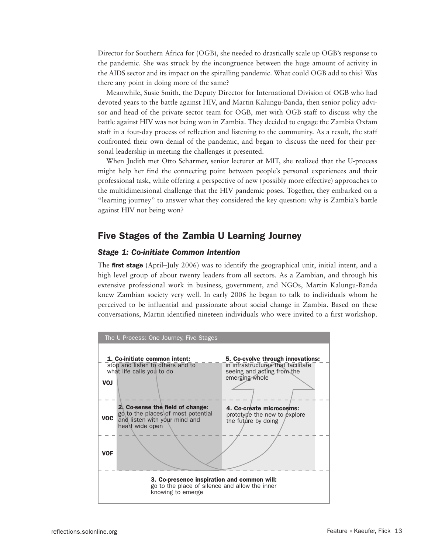Director for Southern Africa for (OGB), she needed to drastically scale up OGB's response to the pandemic. She was struck by the incongruence between the huge amount of activity in the AIDS sector and its impact on the spiralling pandemic. What could OGB add to this? Was there any point in doing more of the same?

Meanwhile, Susie Smith, the Deputy Director for International Division of OGB who had devoted years to the battle against HIV, and Martin Kalungu-Banda, then senior policy advisor and head of the private sector team for OGB, met with OGB staff to discuss why the battle against HIV was not being won in Zambia. They decided to engage the Zambia Oxfam staff in a four-day process of reflection and listening to the community. As a result, the staff confronted their own denial of the pandemic, and began to discuss the need for their personal leadership in meeting the challenges it presented.

When Judith met Otto Scharmer, senior lecturer at MIT, she realized that the U-process might help her find the connecting point between people's personal experiences and their professional task, while offering a perspective of new (possibly more effective) approaches to the multidimensional challenge that the HIV pandemic poses. Together, they embarked on a "learning journey" to answer what they considered the key question: why is Zambia's battle against HIV not being won?

# Five Stages of the Zambia U Learning Journey

#### *Stage 1: Co-initiate Common Intention*

The first stage (April–July 2006) was to identify the geographical unit, initial intent, and a high level group of about twenty leaders from all sectors. As a Zambian, and through his extensive professional work in business, government, and NGOs, Martin Kalungu-Banda knew Zambian society very well. In early 2006 he began to talk to individuals whom he perceived to be influential and passionate about social change in Zambia. Based on these conversations, Martin identified nineteen individuals who were invited to a first workshop.

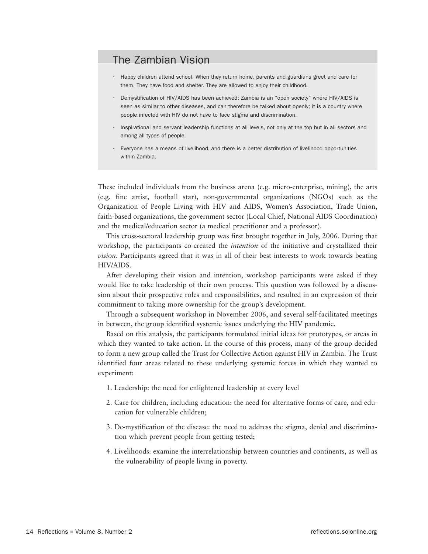# The Zambian Vision

- Happy children attend school. When they return home, parents and guardians greet and care for them. They have food and shelter. They are allowed to enjoy their childhood.
- Demystification of HIV/AIDS has been achieved: Zambia is an "open society" where HIV/AIDS is seen as similar to other diseases, and can therefore be talked about openly; it is a country where people infected with HIV do not have to face stigma and discrimination.
- Inspirational and servant leadership functions at all levels, not only at the top but in all sectors and among all types of people.
- Everyone has a means of livelihood, and there is a better distribution of livelihood opportunities within Zambia.

These included individuals from the business arena (e.g. micro-enterprise, mining), the arts (e.g. fine artist, football star), non-governmental organizations (NGOs) such as the Organization of People Living with HIV and AIDS, Women's Association, Trade Union, faith-based organizations, the government sector (Local Chief, National AIDS Coordination) and the medical/education sector (a medical practitioner and a professor).

This cross-sectoral leadership group was first brought together in July, 2006. During that workshop, the participants co-created the *intention* of the initiative and crystallized their *vision*. Participants agreed that it was in all of their best interests to work towards beating HIV/AIDS.

After developing their vision and intention, workshop participants were asked if they would like to take leadership of their own process. This question was followed by a discussion about their prospective roles and responsibilities, and resulted in an expression of their commitment to taking more ownership for the group's development.

Through a subsequent workshop in November 2006, and several self-facilitated meetings in between, the group identified systemic issues underlying the HIV pandemic.

Based on this analysis, the participants formulated initial ideas for prototypes, or areas in which they wanted to take action. In the course of this process, many of the group decided to form a new group called the Trust for Collective Action against HIV in Zambia. The Trust identified four areas related to these underlying systemic forces in which they wanted to experiment:

- 1. Leadership: the need for enlightened leadership at every level
- 2. Care for children, including education: the need for alternative forms of care, and education for vulnerable children;
- 3. De-mystification of the disease: the need to address the stigma, denial and discrimination which prevent people from getting tested;
- 4. Livelihoods: examine the interrelationship between countries and continents, as well as the vulnerability of people living in poverty.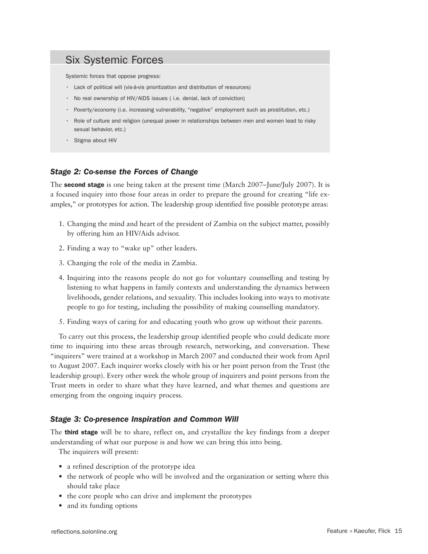# Six Systemic Forces

Systemic forces that oppose progress:

- Lack of political will (vis-à-vis prioritization and distribution of resources)
- No real ownership of HIV/AIDS issues ( i.e. denial, lack of conviction)
- Poverty/economy (i.e. increasing vulnerability, "negative" employment such as prostitution, etc.)
- Role of culture and religion (unequal power in relationships between men and women lead to risky sexual behavior, etc.)
- Stigma about HIV

## *Stage 2: Co-sense the Forces of Change*

The **second stage** is one being taken at the present time (March 2007–June/July 2007). It is a focused inquiry into those four areas in order to prepare the ground for creating "life examples," or prototypes for action. The leadership group identified five possible prototype areas:

- 1. Changing the mind and heart of the president of Zambia on the subject matter, possibly by offering him an HIV/Aids advisor.
- 2. Finding a way to "wake up" other leaders.
- 3. Changing the role of the media in Zambia.
- 4. Inquiring into the reasons people do not go for voluntary counselling and testing by listening to what happens in family contexts and understanding the dynamics between livelihoods, gender relations, and sexuality. This includes looking into ways to motivate people to go for testing, including the possibility of making counselling mandatory.
- 5. Finding ways of caring for and educating youth who grow up without their parents.

To carry out this process, the leadership group identified people who could dedicate more time to inquiring into these areas through research, networking, and conversation. These "inquirers" were trained at a workshop in March 2007 and conducted their work from April to August 2007. Each inquirer works closely with his or her point person from the Trust (the leadership group). Every other week the whole group of inquirers and point persons from the Trust meets in order to share what they have learned, and what themes and questions are emerging from the ongoing inquiry process.

#### *Stage 3: Co-presence Inspiration and Common Will*

The **third stage** will be to share, reflect on, and crystallize the key findings from a deeper understanding of what our purpose is and how we can bring this into being.

The inquirers will present:

- a refined description of the prototype idea
- the network of people who will be involved and the organization or setting where this should take place
- the core people who can drive and implement the prototypes
- and its funding options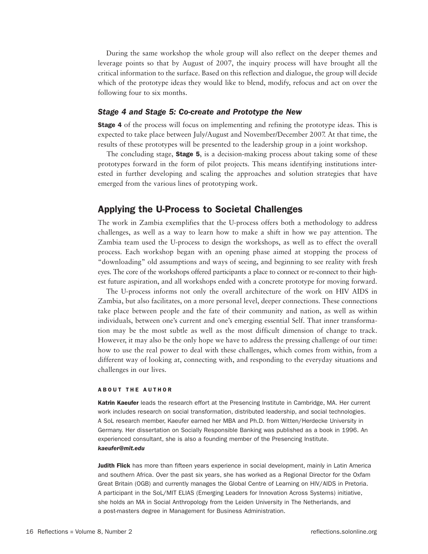During the same workshop the whole group will also reflect on the deeper themes and leverage points so that by August of 2007, the inquiry process will have brought all the critical information to the surface. Based on this reflection and dialogue, the group will decide which of the prototype ideas they would like to blend, modify, refocus and act on over the following four to six months.

#### *Stage 4 and Stage 5: Co-create and Prototype the New*

**Stage 4** of the process will focus on implementing and refining the prototype ideas. This is expected to take place between July/August and November/December 2007. At that time, the results of these prototypes will be presented to the leadership group in a joint workshop.

The concluding stage, **Stage 5**, is a decision-making process about taking some of these prototypes forward in the form of pilot projects. This means identifying institutions interested in further developing and scaling the approaches and solution strategies that have emerged from the various lines of prototyping work.

## Applying the U-Process to Societal Challenges

The work in Zambia exemplifies that the U-process offers both a methodology to address challenges, as well as a way to learn how to make a shift in how we pay attention. The Zambia team used the U-process to design the workshops, as well as to effect the overall process. Each workshop began with an opening phase aimed at stopping the process of "downloading" old assumptions and ways of seeing, and beginning to see reality with fresh eyes. The core of the workshops offered participants a place to connect or re-connect to their highest future aspiration, and all workshops ended with a concrete prototype for moving forward.

The U-process informs not only the overall architecture of the work on HIV AIDS in Zambia, but also facilitates, on a more personal level, deeper connections. These connections take place between people and the fate of their community and nation, as well as within individuals, between one's current and one's emerging essential Self. That inner transformation may be the most subtle as well as the most difficult dimension of change to track. However, it may also be the only hope we have to address the pressing challenge of our time: how to use the real power to deal with these challenges, which comes from within, from a different way of looking at, connecting with, and responding to the everyday situations and challenges in our lives.

#### **ABOUT THE AUTHOR**

Katrin Kaeufer leads the research effort at the Presencing Institute in Cambridge, MA. Her current work includes research on social transformation, distributed leadership, and social technologies. A SoL research member, Kaeufer earned her MBA and Ph.D. from Witten/Herdecke University in Germany. Her dissertation on Socially Responsible Banking was published as a book in 1996. An experienced consultant, she is also a founding member of the Presencing Institute. *kaeufer@mit.edu*

Judith Flick has more than fifteen years experience in social development, mainly in Latin America and southern Africa. Over the past six years, she has worked as a Regional Director for the Oxfam Great Britain (OGB) and currently manages the Global Centre of Learning on HIV/AIDS in Pretoria. A participant in the SoL/MIT ELIAS (Emerging Leaders for Innovation Across Systems) initiative, she holds an MA in Social Anthropology from the Leiden University in The Netherlands, and a post-masters degree in Management for Business Administration.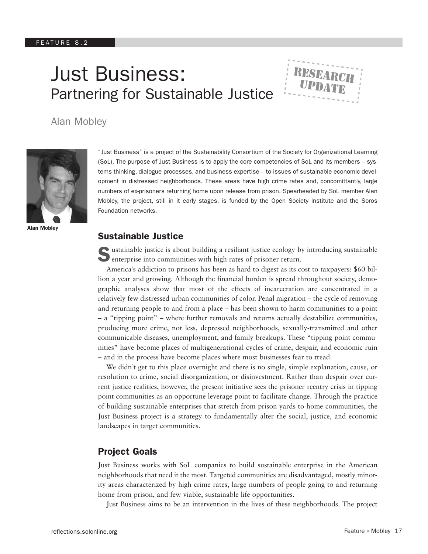# Just Business: Partnering for Sustainable Justice



# Alan Mobley



Alan Mobley

"Just Business" is a project of the Sustainability Consortium of the Society for Organizational Learning (SoL). The purpose of Just Business is to apply the core competencies of SoL and its members – systems thinking, dialogue processes, and business expertise – to issues of sustainable economic development in distressed neighborhoods. These areas have high crime rates and, concomittantly, large numbers of ex-prisoners returning home upon release from prison. Spearheaded by SoL member Alan Mobley, the project, still in it early stages, is funded by the Open Society Institute and the Soros Foundation networks.

## Sustainable Justice

sustainable justice is about building a resiliant justice ecology by introducing sustainable **Example 1** enterprise into communities with high rates of prisoner return.

America's addiction to prisons has been as hard to digest as its cost to taxpayers: \$60 billion a year and growing. Although the financial burden is spread throughout society, demographic analyses show that most of the effects of incarceration are concentrated in a relatively few distressed urban communities of color. Penal migration – the cycle of removing and returning people to and from a place – has been shown to harm communities to a point – a "tipping point" – where further removals and returns actually destabilize communities, producing more crime, not less, depressed neighborhoods, sexually-transmitted and other communicable diseases, unemployment, and family breakups. These "tipping point communities" have become places of multigenerational cycles of crime, despair, and economic ruin – and in the process have become places where most businesses fear to tread.

We didn't get to this place overnight and there is no single, simple explanation, cause, or resolution to crime, social disorganization, or disinvestment. Rather than despair over current justice realities, however, the present initiative sees the prisoner reentry crisis in tipping point communities as an opportune leverage point to facilitate change. Through the practice of building sustainable enterprises that stretch from prison yards to home communities, the Just Business project is a strategy to fundamentally alter the social, justice, and economic landscapes in target communities.

# Project Goals

Just Business works with SoL companies to build sustainable enterprise in the American neighborhoods that need it the most. Targeted communities are disadvantaged, mostly minority areas characterized by high crime rates, large numbers of people going to and returning home from prison, and few viable, sustainable life opportunities.

Just Business aims to be an intervention in the lives of these neighborhoods. The project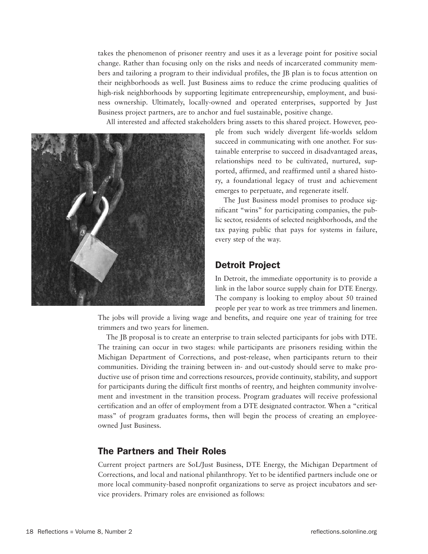takes the phenomenon of prisoner reentry and uses it as a leverage point for positive social change. Rather than focusing only on the risks and needs of incarcerated community members and tailoring a program to their individual profiles, the JB plan is to focus attention on their neighborhoods as well. Just Business aims to reduce the crime producing qualities of high-risk neighborhoods by supporting legitimate entrepreneurship, employment, and business ownership. Ultimately, locally-owned and operated enterprises, supported by Just Business project partners, are to anchor and fuel sustainable, positive change.

All interested and affected stakeholders bring assets to this shared project. However, peo-



ple from such widely divergent life-worlds seldom succeed in communicating with one another. For sustainable enterprise to succeed in disadvantaged areas, relationships need to be cultivated, nurtured, supported, affirmed, and reaffirmed until a shared history, a foundational legacy of trust and achievement emerges to perpetuate, and regenerate itself.

The Just Business model promises to produce significant "wins" for participating companies, the public sector, residents of selected neighborhoods, and the tax paying public that pays for systems in failure, every step of the way.

# Detroit Project

In Detroit, the immediate opportunity is to provide a link in the labor source supply chain for DTE Energy. The company is looking to employ about 50 trained people per year to work as tree trimmers and linemen.

The jobs will provide a living wage and benefits, and require one year of training for tree trimmers and two years for linemen.

The JB proposal is to create an enterprise to train selected participants for jobs with DTE. The training can occur in two stages: while participants are prisoners residing within the Michigan Department of Corrections, and post-release, when participants return to their communities. Dividing the training between in- and out-custody should serve to make productive use of prison time and corrections resources, provide continuity, stability, and support for participants during the difficult first months of reentry, and heighten community involvement and investment in the transition process. Program graduates will receive professional certification and an offer of employment from a DTE designated contractor. When a "critical mass" of program graduates forms, then will begin the process of creating an employeeowned Just Business.

# The Partners and Their Roles

Current project partners are SoL/Just Business, DTE Energy, the Michigan Department of Corrections, and local and national philanthropy. Yet to be identified partners include one or more local community-based nonprofit organizations to serve as project incubators and service providers. Primary roles are envisioned as follows: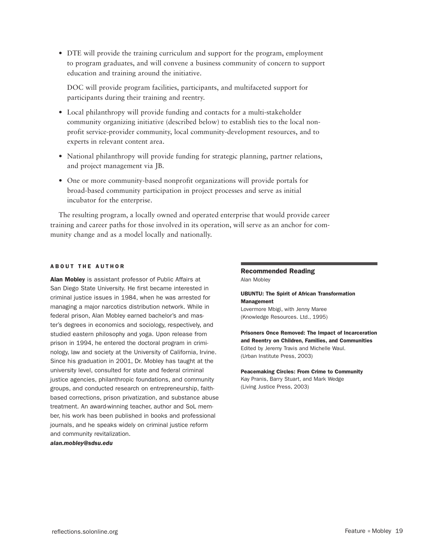• DTE will provide the training curriculum and support for the program, employment to program graduates, and will convene a business community of concern to support education and training around the initiative.

DOC will provide program facilities, participants, and multifaceted support for participants during their training and reentry.

- Local philanthropy will provide funding and contacts for a multi-stakeholder community organizing initiative (described below) to establish ties to the local nonprofit service-provider community, local community-development resources, and to experts in relevant content area.
- National philanthropy will provide funding for strategic planning, partner relations, and project management via JB.
- One or more community-based nonprofit organizations will provide portals for broad-based community participation in project processes and serve as initial incubator for the enterprise.

The resulting program, a locally owned and operated enterprise that would provide career training and career paths for those involved in its operation, will serve as an anchor for community change and as a model locally and nationally.

#### **ABOUT THE AUTHOR**

Alan Mobley is assistant professor of Public Affairs at San Diego State University. He first became interested in criminal justice issues in 1984, when he was arrested for managing a major narcotics distribution network. While in federal prison, Alan Mobley earned bachelor's and master's degrees in economics and sociology, respectively, and studied eastern philosophy and yoga. Upon release from prison in 1994, he entered the doctoral program in criminology, law and society at the University of California, Irvine. Since his graduation in 2001, Dr. Mobley has taught at the university level, consulted for state and federal criminal justice agencies, philanthropic foundations, and community groups, and conducted research on entrepreneurship, faithbased corrections, prison privatization, and substance abuse treatment. An award-winning teacher, author and SoL member, his work has been published in books and professional journals, and he speaks widely on criminal justice reform and community revitalization.

#### *alan.mobley@sdsu.edu*

#### Recommended Reading Alan Mobley

UBUNTU: The Spirit of African Transformation Management Lovermore Mbigi, with Jenny Maree

(Knowledge Resources. Ltd., 1995)

Prisoners Once Removed: The Impact of Incarceration and Reentry on Children, Families, and Communities Edited by Jeremy Travis and Michelle Waul. (Urban Institute Press, 2003)

Peacemaking Circles: From Crime to Community Kay Pranis, Barry Stuart, and Mark Wedge (Living Justice Press, 2003)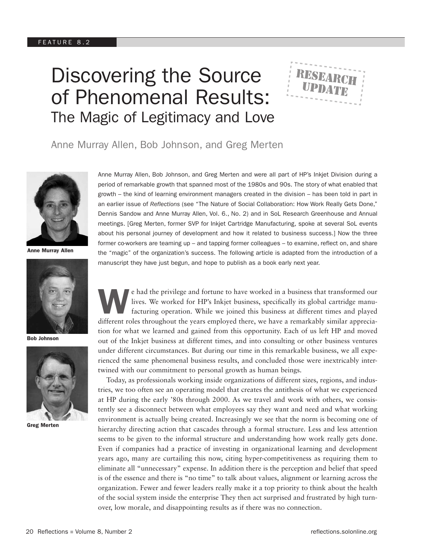# Discovering the Source of Phenomenal Results: The Magic of Legitimacy and Love



# Anne Murray Allen, Bob Johnson, and Greg Merten



Anne Murray Allen



Bob Johnson



Greg Merten

Anne Murray Allen, Bob Johnson, and Greg Merten and were all part of HP's Inkjet Division during a period of remarkable growth that spanned most of the 1980s and 90s. The story of what enabled that growth – the kind of learning environment managers created in the division – has been told in part in an earlier issue of *Reflections* (see "The Nature of Social Collaboration: How Work Really Gets Done," Dennis Sandow and Anne Murray Allen, Vol. 6., No. 2) and in SoL Research Greenhouse and Annual meetings. [Greg Merten, former SVP for Inkjet Cartridge Manufacturing, spoke at several SoL events about his personal journey of development and how it related to business success.] Now the three former co-workers are teaming up – and tapping former colleagues – to examine, reflect on, and share the "magic" of the organization's success. The following article is adapted from the introduction of a manuscript they have just begun, and hope to publish as a book early next year.

Examples that the privilege and fortune to have worked in a business that transformed our lives. We worked for HP's Inkjet business, specifically its global cartridge manu-<br>facturing operation. While we joined this busines lives. We worked for HP's Inkjet business, specifically its global cartridge manufacturing operation. While we joined this business at different times and played different roles throughout the years employed there, we have a remarkably similar appreciation for what we learned and gained from this opportunity. Each of us left HP and moved out of the Inkjet business at different times, and into consulting or other business ventures under different circumstances. But during our time in this remarkable business, we all experienced the same phenomenal business results, and concluded those were inextricably intertwined with our commitment to personal growth as human beings.

Today, as professionals working inside organizations of different sizes, regions, and industries, we too often see an operating model that creates the antithesis of what we experienced at HP during the early '80s through 2000. As we travel and work with others, we consistently see a disconnect between what employees say they want and need and what working environment is actually being created. Increasingly we see that the norm is becoming one of hierarchy directing action that cascades through a formal structure. Less and less attention seems to be given to the informal structure and understanding how work really gets done. Even if companies had a practice of investing in organizational learning and development years ago, many are curtailing this now, citing hyper-competitiveness as requiring them to eliminate all "unnecessary" expense. In addition there is the perception and belief that speed is of the essence and there is "no time" to talk about values, alignment or learning across the organization. Fewer and fewer leaders really make it a top priority to think about the health of the social system inside the enterprise They then act surprised and frustrated by high turnover, low morale, and disappointing results as if there was no connection.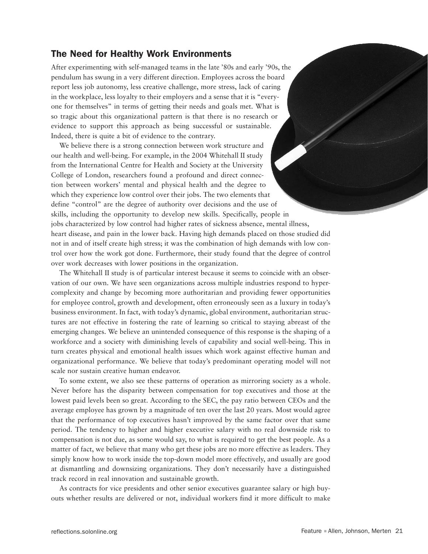## The Need for Healthy Work Environments

After experimenting with self-managed teams in the late '80s and early '90s, the pendulum has swung in a very different direction. Employees across the board report less job autonomy, less creative challenge, more stress, lack of caring in the workplace, less loyalty to their employers and a sense that it is "everyone for themselves" in terms of getting their needs and goals met. What is so tragic about this organizational pattern is that there is no research or evidence to support this approach as being successful or sustainable. Indeed, there is quite a bit of evidence to the contrary.

We believe there is a strong connection between work structure and our health and well-being. For example, in the 2004 Whitehall II study from the International Centre for Health and Society at the University College of London, researchers found a profound and direct connection between workers' mental and physical health and the degree to which they experience low control over their jobs. The two elements that define "control" are the degree of authority over decisions and the use of skills, including the opportunity to develop new skills. Specifically, people in jobs characterized by low control had higher rates of sickness absence, mental illness, heart disease, and pain in the lower back. Having high demands placed on those studied did not in and of itself create high stress; it was the combination of high demands with low control over how the work got done. Furthermore, their study found that the degree of control over work decreases with lower positions in the organization.

The Whitehall II study is of particular interest because it seems to coincide with an observation of our own. We have seen organizations across multiple industries respond to hypercomplexity and change by becoming more authoritarian and providing fewer opportunities for employee control, growth and development, often erroneously seen as a luxury in today's business environment. In fact, with today's dynamic, global environment, authoritarian structures are not effective in fostering the rate of learning so critical to staying abreast of the emerging changes. We believe an unintended consequence of this response is the shaping of a workforce and a society with diminishing levels of capability and social well-being. This in turn creates physical and emotional health issues which work against effective human and organizational performance. We believe that today's predominant operating model will not scale nor sustain creative human endeavor.

To some extent, we also see these patterns of operation as mirroring society as a whole. Never before has the disparity between compensation for top executives and those at the lowest paid levels been so great. According to the SEC, the pay ratio between CEOs and the average employee has grown by a magnitude of ten over the last 20 years. Most would agree that the performance of top executives hasn't improved by the same factor over that same period. The tendency to higher and higher executive salary with no real downside risk to compensation is not due, as some would say, to what is required to get the best people. As a matter of fact, we believe that many who get these jobs are no more effective as leaders. They simply know how to work inside the top-down model more effectively, and usually are good at dismantling and downsizing organizations. They don't necessarily have a distinguished track record in real innovation and sustainable growth.

As contracts for vice presidents and other senior executives guarantee salary or high buyouts whether results are delivered or not, individual workers find it more difficult to make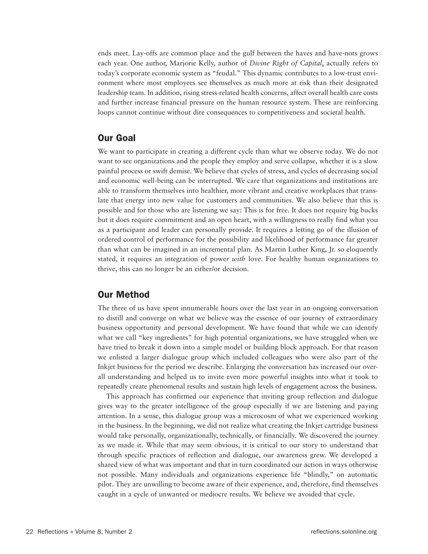ends meet. Lay-offs are common place and the gulf between the haves and have-nots grows each year. One author, Marjorie Kelly, author of *Divine Right of Capital*, actually refers to today's corporate economic system as "feudal." This dynamic contributes to a low-trust environment where most employees see themselves as much more at risk than their designated leadership team. In addition, rising stress-related health concerns, affect overall health care costs and further increase financial pressure on the human resource system. These are reinforcing loops cannot continue without dire consequences to competitiveness and societal health.

# Our Goal

We want to participate in creating a different cycle than what we observe today. We do not want to see organizations and the people they employ and serve collapse, whether it is a slow painful process or swift demise. We believe that cycles of stress, and cycles of decreasing social and economic well-being can be interrupted. We care that organizations and institutions are able to transform themselves into healthier, more vibrant and creative workplaces that translate that energy into new value for customers and communities. We also believe that this is possible and for those who are listening we say: This is for free. It does not require big bucks but it does require commitment and an open heart, with a willingness to really find what you as a participant and leader can personally provide. It requires a letting go of the illusion of ordered control of performance for the possibility and likelihood of performance far greater than what can be imagined in an incremental plan. As Martin Luther King, Jr. so eloquently stated, it requires an integration of power *with* love. For healthy human organizations to thrive, this can no longer be an either/or decision.

# Our Method

The three of us have spent innumerable hours over the last year in an ongoing conversation to distill and converge on what we believe was the essence of our journey of extraordinary business opportunity and personal development. We have found that while we can identify what we call "key ingredients" for high potential organizations, we have struggled when we have tried to break it down into a simple model or building block approach. For that reason we enlisted a larger dialogue group which included colleagues who were also part of the Inkjet business for the period we describe. Enlarging the conversation has increased our overall understanding and helped us to invite even more powerful insights into what it took to repeatedly create phenomenal results and sustain high levels of engagement across the business.

This approach has confirmed our experience that inviting group reflection and dialogue gives way to the greater intelligence of the group especially if we are listening and paying attention. In a sense, this dialogue group was a microcosm of what we experienced working in the business. In the beginning, we did not realize what creating the Inkjet cartridge business would take personally, organizationally, technically, or financially. We discovered the journey as we made it. While that may seem obvious, it is critical to our story to understand that through specific practices of reflection and dialogue, our awareness grew. We developed a shared view of what was important and that in turn coordinated our action in ways otherwise not possible. Many individuals and organizations experience life "blindly," on automatic pilot. They are unwilling to become aware of their experience, and, therefore, find themselves caught in a cycle of unwanted or mediocre results. We believe we avoided that cycle.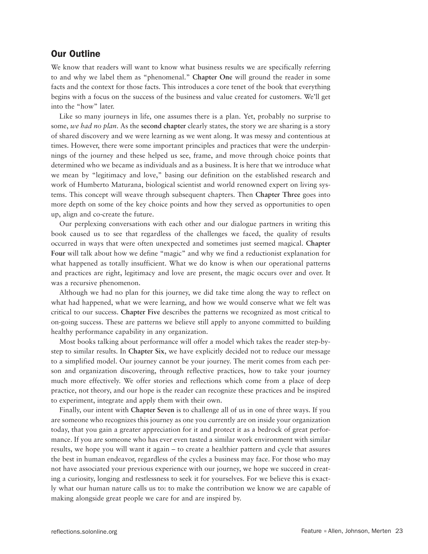## Our Outline

We know that readers will want to know what business results we are specifically referring to and why we label them as "phenomenal." **Chapter One** will ground the reader in some facts and the context for those facts. This introduces a core tenet of the book that everything begins with a focus on the success of the business and value created for customers. We'll get into the "how" later.

Like so many journeys in life, one assumes there is a plan. Yet, probably no surprise to some, *we had no plan*. As the **second chapter** clearly states, the story we are sharing is a story of shared discovery and we were learning as we went along. It was messy and contentious at times. However, there were some important principles and practices that were the underpinnings of the journey and these helped us see, frame, and move through choice points that determined who we became as individuals and as a business. It is here that we introduce what we mean by "legitimacy and love," basing our definition on the established research and work of Humberto Maturana, biological scientist and world renowned expert on living systems. This concept will weave through subsequent chapters. Then **Chapter Three** goes into more depth on some of the key choice points and how they served as opportunities to open up, align and co-create the future.

Our perplexing conversations with each other and our dialogue partners in writing this book caused us to see that regardless of the challenges we faced, the quality of results occurred in ways that were often unexpected and sometimes just seemed magical. **Chapter Four** will talk about how we define "magic" and why we find a reductionist explanation for what happened as totally insufficient. What we do know is when our operational patterns and practices are right, legitimacy and love are present, the magic occurs over and over. It was a recursive phenomenon.

Although we had no plan for this journey, we did take time along the way to reflect on what had happened, what we were learning, and how we would conserve what we felt was critical to our success. **Chapter Five** describes the patterns we recognized as most critical to on-going success. These are patterns we believe still apply to anyone committed to building healthy performance capability in any organization.

Most books talking about performance will offer a model which takes the reader step-bystep to similar results. In **Chapter Six**, we have explicitly decided not to reduce our message to a simplified model. Our journey cannot be your journey. The merit comes from each person and organization discovering, through reflective practices, how to take your journey much more effectively. We offer stories and reflections which come from a place of deep practice, not theory, and our hope is the reader can recognize these practices and be inspired to experiment, integrate and apply them with their own.

Finally, our intent with **Chapter Seven** is to challenge all of us in one of three ways. If you are someone who recognizes this journey as one you currently are on inside your organization today, that you gain a greater appreciation for it and protect it as a bedrock of great performance. If you are someone who has ever even tasted a similar work environment with similar results, we hope you will want it again – to create a healthier pattern and cycle that assures the best in human endeavor, regardless of the cycles a business may face. For those who may not have associated your previous experience with our journey, we hope we succeed in creating a curiosity, longing and restlessness to seek it for yourselves. For we believe this is exactly what our human nature calls us to: to make the contribution we know we are capable of making alongside great people we care for and are inspired by.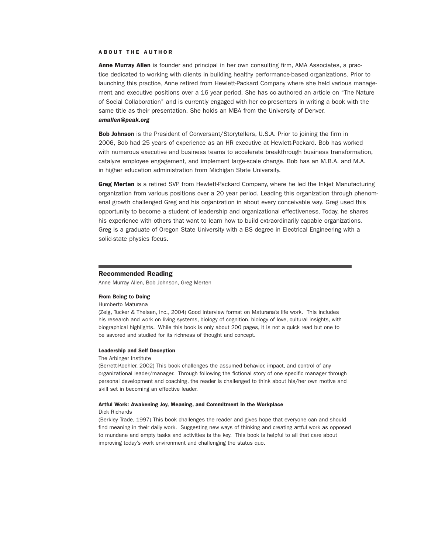#### **ABOUT THE AUTHOR**

Anne Murray Allen is founder and principal in her own consulting firm, AMA Associates, a practice dedicated to working with clients in building healthy performance-based organizations. Prior to launching this practice, Anne retired from Hewlett-Packard Company where she held various management and executive positions over a 16 year period. She has co-authored an article on "The Nature of Social Collaboration" and is currently engaged with her co-presenters in writing a book with the same title as their presentation. She holds an MBA from the University of Denver.

#### *amallen@peak.org*

Bob Johnson is the President of Conversant/Storytellers, U.S.A. Prior to joining the firm in 2006, Bob had 25 years of experience as an HR executive at Hewlett-Packard. Bob has worked with numerous executive and business teams to accelerate breakthrough business transformation, catalyze employee engagement, and implement large-scale change. Bob has an M.B.A. and M.A. in higher education administration from Michigan State University.

Greg Merten is a retired SVP from Hewlett-Packard Company, where he led the Inkjet Manufacturing organization from various positions over a 20 year period. Leading this organization through phenomenal growth challenged Greg and his organization in about every conceivable way. Greg used this opportunity to become a student of leadership and organizational effectiveness. Today, he shares his experience with others that want to learn how to build extraordinarily capable organizations. Greg is a graduate of Oregon State University with a BS degree in Electrical Engineering with a solid-state physics focus.

#### Recommended Reading

Anne Murray Allen, Bob Johnson, Greg Merten

#### From Being to Doing

#### Humberto Maturana

(Zeig, Tucker & Theisen, Inc., 2004) Good interview format on Maturana's life work. This includes his research and work on living systems, biology of cognition, biology of love, cultural insights, with biographical highlights. While this book is only about 200 pages, it is not a quick read but one to be savored and studied for its richness of thought and concept.

#### Leadership and Self Deception

The Arbinger Institute

(Berrett-Koehler, 2002) This book challenges the assumed behavior, impact, and control of any organizational leader/manager. Through following the fictional story of one specific manager through personal development and coaching, the reader is challenged to think about his/her own motive and skill set in becoming an effective leader.

#### Artful Work: Awakening Joy, Meaning, and Commitment in the Workplace

#### Dick Richards

(Berkley Trade, 1997) This book challenges the reader and gives hope that everyone can and should find meaning in their daily work. Suggesting new ways of thinking and creating artful work as opposed to mundane and empty tasks and activities is the key. This book is helpful to all that care about improving today's work environment and challenging the status quo.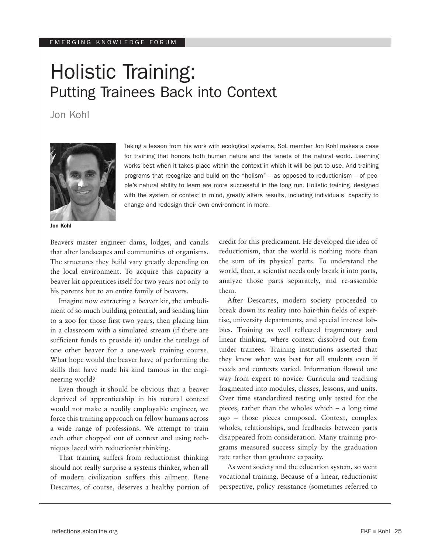#### emerging knowledge forum

# Holistic Training: Putting Trainees Back into Context

change and redesign their own environment in more.

Jon Kohl



Jon Kohl

Beavers master engineer dams, lodges, and canals that alter landscapes and communities of organisms. The structures they build vary greatly depending on the local environment. To acquire this capacity a beaver kit apprentices itself for two years not only to his parents but to an entire family of beavers.

Imagine now extracting a beaver kit, the embodiment of so much building potential, and sending him to a zoo for those first two years, then placing him in a classroom with a simulated stream (if there are sufficient funds to provide it) under the tutelage of one other beaver for a one-week training course. What hope would the beaver have of performing the skills that have made his kind famous in the engineering world?

Even though it should be obvious that a beaver deprived of apprenticeship in his natural context would not make a readily employable engineer, we force this training approach on fellow humans across a wide range of professions. We attempt to train each other chopped out of context and using techniques laced with reductionist thinking.

That training suffers from reductionist thinking should not really surprise a systems thinker, when all of modern civilization suffers this ailment. Rene Descartes, of course, deserves a healthy portion of credit for this predicament. He developed the idea of reductionism, that the world is nothing more than the sum of its physical parts. To understand the world, then, a scientist needs only break it into parts, analyze those parts separately, and re-assemble them.

Taking a lesson from his work with ecological systems, SoL member Jon Kohl makes a case for training that honors both human nature and the tenets of the natural world. Learning works best when it takes place within the context in which it will be put to use. And training programs that recognize and build on the "holism" – as opposed to reductionism – of people's natural ability to learn are more successful in the long run. Holistic training, designed with the system or context in mind, greatly alters results, including individuals' capacity to

> After Descartes, modern society proceeded to break down its reality into hair-thin fields of expertise, university departments, and special interest lobbies. Training as well reflected fragmentary and linear thinking, where context dissolved out from under trainees. Training institutions asserted that they knew what was best for all students even if needs and contexts varied. Information flowed one way from expert to novice. Curricula and teaching fragmented into modules, classes, lessons, and units. Over time standardized testing only tested for the pieces, rather than the wholes which – a long time ago – those pieces composed. Context, complex wholes, relationships, and feedbacks between parts disappeared from consideration. Many training programs measured success simply by the graduation rate rather than graduate capacity.

> As went society and the education system, so went vocational training. Because of a linear, reductionist perspective, policy resistance (sometimes referred to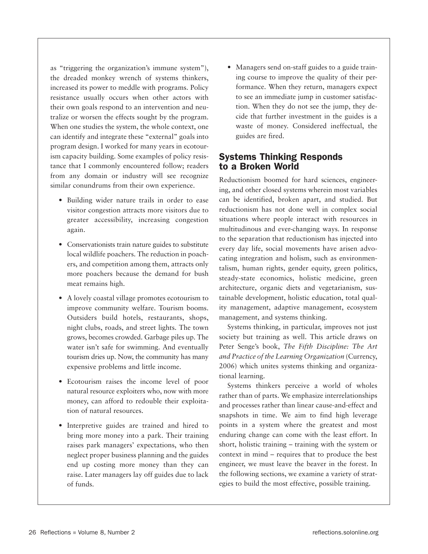as "triggering the organization's immune system"), the dreaded monkey wrench of systems thinkers, increased its power to meddle with programs. Policy resistance usually occurs when other actors with their own goals respond to an intervention and neutralize or worsen the effects sought by the program. When one studies the system, the whole context, one can identify and integrate these "external" goals into program design. I worked for many years in ecotourism capacity building. Some examples of policy resistance that I commonly encountered follow; readers from any domain or industry will see recognize similar conundrums from their own experience.

- Building wider nature trails in order to ease visitor congestion attracts more visitors due to greater accessibility, increasing congestion again.
- Conservationists train nature guides to substitute local wildlife poachers. The reduction in poachers, and competition among them, attracts only more poachers because the demand for bush meat remains high.
- A lovely coastal village promotes ecotourism to improve community welfare. Tourism booms. Outsiders build hotels, restaurants, shops, night clubs, roads, and street lights. The town grows, becomes crowded. Garbage piles up. The water isn't safe for swimming. And eventually tourism dries up. Now, the community has many expensive problems and little income.
- Ecotourism raises the income level of poor natural resource exploiters who, now with more money, can afford to redouble their exploitation of natural resources.
- Interpretive guides are trained and hired to bring more money into a park. Their training raises park managers' expectations, who then neglect proper business planning and the guides end up costing more money than they can raise. Later managers lay off guides due to lack of funds.

• Managers send on-staff guides to a guide training course to improve the quality of their performance. When they return, managers expect to see an immediate jump in customer satisfaction. When they do not see the jump, they decide that further investment in the guides is a waste of money. Considered ineffectual, the guides are fired.

# Systems Thinking Responds to a Broken World

Reductionism boomed for hard sciences, engineering, and other closed systems wherein most variables can be identified, broken apart, and studied. But reductionism has not done well in complex social situations where people interact with resources in multitudinous and ever-changing ways. In response to the separation that reductionism has injected into every day life, social movements have arisen advocating integration and holism, such as environmentalism, human rights, gender equity, green politics, steady-state economics, holistic medicine, green architecture, organic diets and vegetarianism, sustainable development, holistic education, total quality management, adaptive management, ecosystem management, and systems thinking.

Systems thinking, in particular, improves not just society but training as well. This article draws on Peter Senge's book, *The Fifth Discipline: The Art and Practice of the Learning Organization* (Currency, 2006) which unites systems thinking and organizational learning.

Systems thinkers perceive a world of wholes rather than of parts. We emphasize interrelationships and processes rather than linear cause-and-effect and snapshots in time. We aim to find high leverage points in a system where the greatest and most enduring change can come with the least effort. In short, holistic training – training with the system or context in mind – requires that to produce the best engineer, we must leave the beaver in the forest. In the following sections, we examine a variety of strategies to build the most effective, possible training.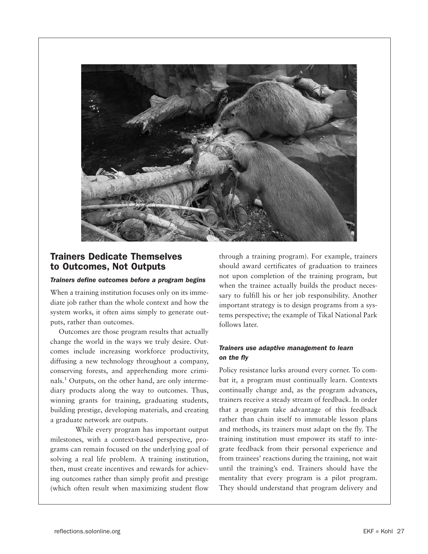

# Trainers Dedicate Themselves to Outcomes, Not Outputs

#### *Trainers define outcomes before a program begins*

When a training institution focuses only on its immediate job rather than the whole context and how the system works, it often aims simply to generate outputs, rather than outcomes.

Outcomes are those program results that actually change the world in the ways we truly desire. Outcomes include increasing workforce productivity, diffusing a new technology throughout a company, conserving forests, and apprehending more criminals.1 Outputs, on the other hand, are only intermediary products along the way to outcomes. Thus, winning grants for training, graduating students, building prestige, developing materials, and creating a graduate network are outputs.

While every program has important output milestones, with a context-based perspective, programs can remain focused on the underlying goal of solving a real life problem. A training institution, then, must create incentives and rewards for achieving outcomes rather than simply profit and prestige (which often result when maximizing student flow

through a training program). For example, trainers should award certificates of graduation to trainees not upon completion of the training program, but when the trainee actually builds the product necessary to fulfill his or her job responsibility. Another important strategy is to design programs from a systems perspective; the example of Tikal National Park follows later.

#### *Trainers use adaptive management to learn on the fly*

Policy resistance lurks around every corner. To combat it, a program must continually learn. Contexts continually change and, as the program advances, trainers receive a steady stream of feedback. In order that a program take advantage of this feedback rather than chain itself to immutable lesson plans and methods, its trainers must adapt on the fly. The training institution must empower its staff to integrate feedback from their personal experience and from trainees' reactions during the training, not wait until the training's end. Trainers should have the mentality that every program is a pilot program. They should understand that program delivery and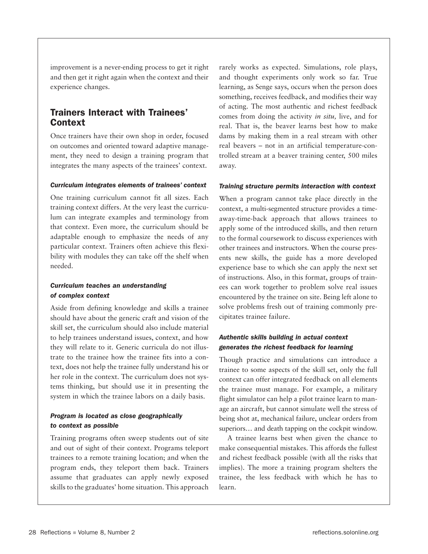improvement is a never-ending process to get it right and then get it right again when the context and their experience changes.

# Trainers Interact with Trainees' Context

Once trainers have their own shop in order, focused on outcomes and oriented toward adaptive management, they need to design a training program that integrates the many aspects of the trainees' context.

#### *Curriculum integrates elements of trainees' context*

One training curriculum cannot fit all sizes. Each training context differs. At the very least the curriculum can integrate examples and terminology from that context. Even more, the curriculum should be adaptable enough to emphasize the needs of any particular context. Trainers often achieve this flexibility with modules they can take off the shelf when needed.

### *Curriculum teaches an understanding of complex context*

Aside from defining knowledge and skills a trainee should have about the generic craft and vision of the skill set, the curriculum should also include material to help trainees understand issues, context, and how they will relate to it. Generic curricula do not illustrate to the trainee how the trainee fits into a context, does not help the trainee fully understand his or her role in the context. The curriculum does not systems thinking, but should use it in presenting the system in which the trainee labors on a daily basis.

## *Program is located as close geographically to context as possible*

Training programs often sweep students out of site and out of sight of their context. Programs teleport trainees to a remote training location; and when the program ends, they teleport them back. Trainers assume that graduates can apply newly exposed skills to the graduates' home situation. This approach

rarely works as expected. Simulations, role plays, and thought experiments only work so far. True learning, as Senge says, occurs when the person does something, receives feedback, and modifies their way of acting. The most authentic and richest feedback comes from doing the activity *in situ,* live, and for real. That is, the beaver learns best how to make dams by making them in a real stream with other real beavers – not in an artificial temperature-controlled stream at a beaver training center, 500 miles away.

#### *Training structure permits interaction with context*

When a program cannot take place directly in the context, a multi-segmented structure provides a timeaway-time-back approach that allows trainees to apply some of the introduced skills, and then return to the formal coursework to discuss experiences with other trainees and instructors. When the course presents new skills, the guide has a more developed experience base to which she can apply the next set of instructions. Also, in this format, groups of trainees can work together to problem solve real issues encountered by the trainee on site. Being left alone to solve problems fresh out of training commonly precipitates trainee failure.

## *Authentic skills building in actual context generates the richest feedback for learning*

Though practice and simulations can introduce a trainee to some aspects of the skill set, only the full context can offer integrated feedback on all elements the trainee must manage. For example, a military flight simulator can help a pilot trainee learn to manage an aircraft, but cannot simulate well the stress of being shot at, mechanical failure, unclear orders from superiors... and death tapping on the cockpit window.

A trainee learns best when given the chance to make consequential mistakes. This affords the fullest and richest feedback possible (with all the risks that implies). The more a training program shelters the trainee, the less feedback with which he has to learn.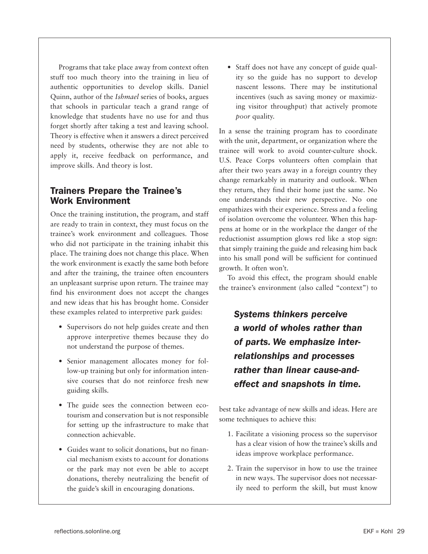Programs that take place away from context often stuff too much theory into the training in lieu of authentic opportunities to develop skills. Daniel Quinn, author of the *Ishmael* series of books, argues that schools in particular teach a grand range of knowledge that students have no use for and thus forget shortly after taking a test and leaving school. Theory is effective when it answers a direct perceived need by students, otherwise they are not able to apply it, receive feedback on performance, and improve skills. And theory is lost.

# Trainers Prepare the Trainee's Work Environment

Once the training institution, the program, and staff are ready to train in context, they must focus on the trainee's work environment and colleagues. Those who did not participate in the training inhabit this place. The training does not change this place. When the work environment is exactly the same both before and after the training, the trainee often encounters an unpleasant surprise upon return. The trainee may find his environment does not accept the changes and new ideas that his has brought home. Consider these examples related to interpretive park guides:

- Supervisors do not help guides create and then approve interpretive themes because they do not understand the purpose of themes.
- Senior management allocates money for follow-up training but only for information intensive courses that do not reinforce fresh new guiding skills.
- The guide sees the connection between ecotourism and conservation but is not responsible for setting up the infrastructure to make that connection achievable.
- Guides want to solicit donations, but no financial mechanism exists to account for donations or the park may not even be able to accept donations, thereby neutralizing the benefit of the guide's skill in encouraging donations.

• Staff does not have any concept of guide quality so the guide has no support to develop nascent lessons. There may be institutional incentives (such as saving money or maximizing visitor throughput) that actively promote *poor* quality.

In a sense the training program has to coordinate with the unit, department, or organization where the trainee will work to avoid counter-culture shock. U.S. Peace Corps volunteers often complain that after their two years away in a foreign country they change remarkably in maturity and outlook. When they return, they find their home just the same. No one understands their new perspective. No one empathizes with their experience. Stress and a feeling of isolation overcome the volunteer. When this happens at home or in the workplace the danger of the reductionist assumption glows red like a stop sign: that simply training the guide and releasing him back into his small pond will be sufficient for continued growth. It often won't.

To avoid this effect, the program should enable the trainee's environment (also called "context") to

# *Systems thinkers perceive a world of wholes rather than of parts. We emphasize interrelationships and processes rather than linear cause-andeffect and snapshots in time.*

best take advantage of new skills and ideas. Here are some techniques to achieve this:

- 1. Facilitate a visioning process so the supervisor has a clear vision of how the trainee's skills and ideas improve workplace performance.
- 2. Train the supervisor in how to use the trainee in new ways. The supervisor does not necessarily need to perform the skill, but must know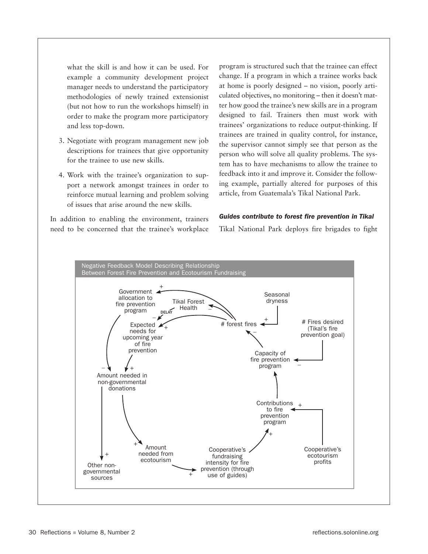what the skill is and how it can be used. For example a community development project manager needs to understand the participatory methodologies of newly trained extensionist (but not how to run the workshops himself) in order to make the program more participatory and less top-down.

- 3. Negotiate with program management new job descriptions for trainees that give opportunity for the trainee to use new skills.
- 4. Work with the trainee's organization to support a network amongst trainees in order to reinforce mutual learning and problem solving of issues that arise around the new skills.

In addition to enabling the environment, trainers need to be concerned that the trainee's workplace

program is structured such that the trainee can effect change. If a program in which a trainee works back at home is poorly designed – no vision, poorly articulated objectives, no monitoring – then it doesn't matter how good the trainee's new skills are in a program designed to fail. Trainers then must work with trainees' organizations to reduce output-thinking. If trainees are trained in quality control, for instance, the supervisor cannot simply see that person as the person who will solve all quality problems. The system has to have mechanisms to allow the trainee to feedback into it and improve it. Consider the following example, partially altered for purposes of this article, from Guatemala's Tikal National Park.

#### *Guides contribute to forest fire prevention in Tikal*

Tikal National Park deploys fire brigades to fight

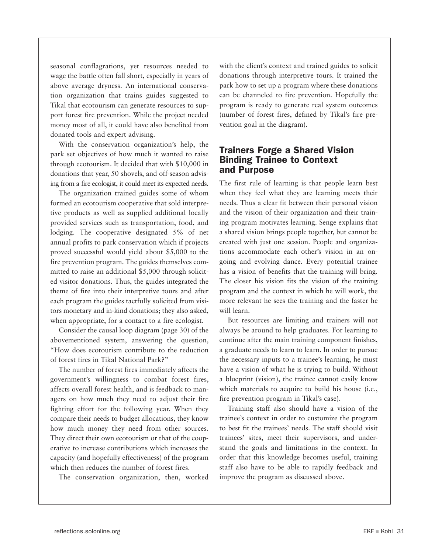seasonal conflagrations, yet resources needed to wage the battle often fall short, especially in years of above average dryness. An international conservation organization that trains guides suggested to Tikal that ecotourism can generate resources to support forest fire prevention. While the project needed money most of all, it could have also benefited from donated tools and expert advising.

With the conservation organization's help, the park set objectives of how much it wanted to raise through ecotourism. It decided that with \$10,000 in donations that year, 50 shovels, and off-season advising from a fire ecologist, it could meet its expected needs.

The organization trained guides some of whom formed an ecotourism cooperative that sold interpretive products as well as supplied additional locally provided services such as transportation, food, and lodging. The cooperative designated 5% of net annual profits to park conservation which if projects proved successful would yield about \$5,000 to the fire prevention program. The guides themselves committed to raise an additional \$5,000 through solicited visitor donations. Thus, the guides integrated the theme of fire into their interpretive tours and after each program the guides tactfully solicited from visitors monetary and in-kind donations; they also asked, when appropriate, for a contact to a fire ecologist.

Consider the causal loop diagram (page 30) of the abovementioned system, answering the question, "How does ecotourism contribute to the reduction of forest fires in Tikal National Park?"

The number of forest fires immediately affects the government's willingness to combat forest fires, affects overall forest health, and is feedback to managers on how much they need to adjust their fire fighting effort for the following year. When they compare their needs to budget allocations, they know how much money they need from other sources. They direct their own ecotourism or that of the cooperative to increase contributions which increases the capacity (and hopefully effectiveness) of the program which then reduces the number of forest fires.

The conservation organization, then, worked

with the client's context and trained guides to solicit donations through interpretive tours. It trained the park how to set up a program where these donations can be channeled to fire prevention. Hopefully the program is ready to generate real system outcomes (number of forest fires, defined by Tikal's fire prevention goal in the diagram).

# Trainers Forge a Shared Vision Binding Trainee to Context and Purpose

The first rule of learning is that people learn best when they feel what they are learning meets their needs. Thus a clear fit between their personal vision and the vision of their organization and their training program motivates learning. Senge explains that a shared vision brings people together, but cannot be created with just one session. People and organizations accommodate each other's vision in an ongoing and evolving dance. Every potential trainee has a vision of benefits that the training will bring. The closer his vision fits the vision of the training program and the context in which he will work, the more relevant he sees the training and the faster he will learn.

But resources are limiting and trainers will not always be around to help graduates. For learning to continue after the main training component finishes, a graduate needs to learn to learn. In order to pursue the necessary inputs to a trainee's learning, he must have a vision of what he is trying to build. Without a blueprint (vision), the trainee cannot easily know which materials to acquire to build his house (i.e., fire prevention program in Tikal's case).

Training staff also should have a vision of the trainee's context in order to customize the program to best fit the trainees' needs. The staff should visit trainees' sites, meet their supervisors, and understand the goals and limitations in the context. In order that this knowledge becomes useful, training staff also have to be able to rapidly feedback and improve the program as discussed above.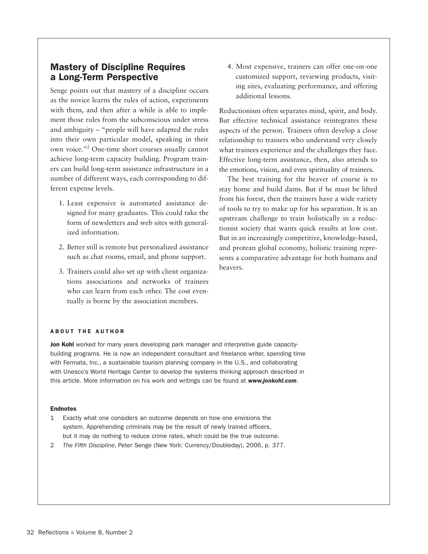# Mastery of Discipline Requires a Long-Term Perspective

Senge points out that mastery of a discipline occurs as the novice learns the rules of action, experiments with them, and then after a while is able to implement those rules from the subconscious under stress and ambiguity – "people will have adapted the rules into their own particular model, speaking in their own voice."<sup>2</sup> One-time short courses usually cannot achieve long-term capacity building. Program trainers can build long-term assistance infrastructure in a number of different ways, each corresponding to different expense levels.

- 1. Least expensive is automated assistance designed for many graduates. This could take the form of newsletters and web sites with generalized information.
- 2. Better still is remote but personalized assistance such as chat rooms, email, and phone support.
- 3. Trainers could also set up with client organizations associations and networks of trainees who can learn from each other. The cost eventually is borne by the association members.

4. Most expensive, trainers can offer one-on-one customized support, reviewing products, visiting sites, evaluating performance, and offering additional lessons.

Reductionism often separates mind, spirit, and body. But effective technical assistance reintegrates these aspects of the person. Trainees often develop a close relationship to trainers who understand very closely what trainees experience and the challenges they face. Effective long-term assistance, then, also attends to the emotions, vision, and even spirituality of trainees.

The best training for the beaver of course is to stay home and build dams. But if he must be lifted from his forest, then the trainers have a wide variety of tools to try to make up for his separation. It is an upstream challenge to train holistically in a reductionist society that wants quick results at low cost. But in an increasingly competitive, knowledge-based, and protean global economy, holistic training represents a comparative advantage for both humans and beavers.

#### **ABOUT THE AUTHOR**

Jon Kohl worked for many years developing park manager and interpretive guide capacitybuilding programs. He is now an independent consultant and freelance writer, spending time with Fermata, Inc., a sustainable tourism planning company in the U.S., and collaborating with Unesco's World Heritage Center to develop the systems thinking approach described in this article. More information on his work and writings can be found at *www.jonkohl.com*.

#### Endnotes

- 1 Exactly what one considers an outcome depends on how one envisions the system. Apprehending criminals may be the result of newly trained officers, but it may do nothing to reduce crime rates, which could be the true outcome.
- 2 *The Fifth Discipline*, Peter Senge (New York: Currency/Doubleday), 2006, p. 377.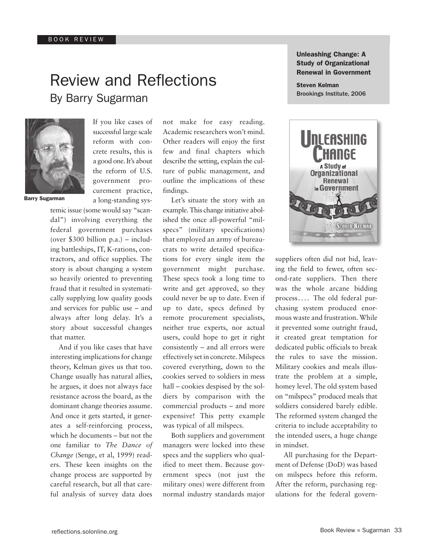# Review and Reflections By Barry Sugarman



If you like cases of successful large scale reform with concrete results, this is a good one. It's about the reform of U.S. government procurement practice, a long-standing sys-

Barry Sugarman

temic issue (some would say "scandal") involving everything the federal government purchases (over \$300 billion p.a.) – including battleships, IT, K-rations, contractors, and office supplies. The story is about changing a system so heavily oriented to preventing fraud that it resulted in systematically supplying low quality goods and services for public use – and always after long delay. It's a story about successful changes that matter.

And if you like cases that have interesting implications for change theory, Kelman gives us that too. Change usually has natural allies, he argues, it does not always face resistance across the board, as the dominant change theories assume. And once it gets started, it generates a self-reinforcing process, which he documents – but not the one familiar to *The Dance of Change* (Senge, et al, 1999) readers. These keen insights on the change process are supported by careful research, but all that careful analysis of survey data does not make for easy reading. Academic researchers won't mind. Other readers will enjoy the first few and final chapters which describe the setting, explain the culture of public management, and outline the implications of these findings.

Let's situate the story with an example. This change initiative abolished the once all-powerful "milspecs" (military specifications) that employed an army of bureaucrats to write detailed specifications for every single item the government might purchase. These specs took a long time to write and get approved, so they could never be up to date. Even if up to date, specs defined by remote procurement specialists, neither true experts, nor actual users, could hope to get it right consistently – and all errors were effectively set in concrete. Milspecs covered everything, down to the cookies served to soldiers in mess hall – cookies despised by the soldiers by comparison with the commercial products – and more expensive! This petty example was typical of all milspecs.

Both suppliers and government managers were locked into these specs and the suppliers who qualified to meet them. Because government specs (not just the military ones) were different from normal industry standards major

#### Unleashing Change: A Study of Organizational Renewal in Government

Steven Kelman Brookings Institute, 2006



suppliers often did not bid, leaving the field to fewer, often second-rate suppliers. Then there was the whole arcane bidding process.... The old federal purchasing system produced enormous waste and frustration. While it prevented some outright fraud, it created great temptation for dedicated public officials to break the rules to save the mission. Military cookies and meals illustrate the problem at a simple, homey level. The old system based on "milspecs" produced meals that soldiers considered barely edible. The reformed system changed the criteria to include acceptability to the intended users, a huge change in mindset.

All purchasing for the Department of Defense (DoD) was based on milspecs before this reform. After the reform, purchasing regulations for the federal govern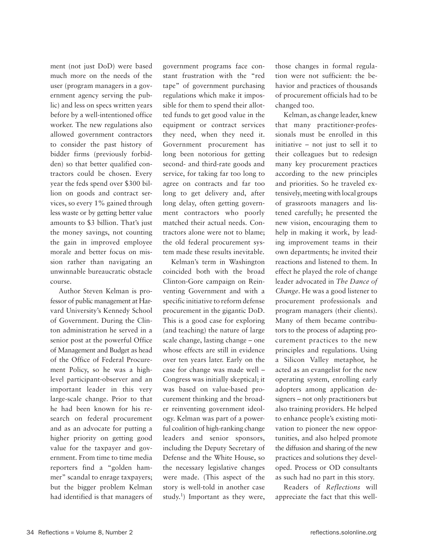ment (not just DoD) were based much more on the needs of the user (program managers in a government agency serving the public) and less on specs written years before by a well-intentioned office worker. The new regulations also allowed government contractors to consider the past history of bidder firms (previously forbidden) so that better qualified contractors could be chosen. Every year the feds spend over \$300 billion on goods and contract services, so every 1% gained through less waste or by getting better value amounts to \$3 billion. That's just the money savings, not counting the gain in improved employee morale and better focus on mission rather than navigating an unwinnable bureaucratic obstacle course.

Author Steven Kelman is professor of public management at Harvard University's Kennedy School of Government. During the Clinton administration he served in a senior post at the powerful Office of Management and Budget as head of the Office of Federal Procurement Policy, so he was a highlevel participant-observer and an important leader in this very large-scale change. Prior to that he had been known for his research on federal procurement and as an advocate for putting a higher priority on getting good value for the taxpayer and government. From time to time media reporters find a "golden hammer" scandal to enrage taxpayers; but the bigger problem Kelman had identified is that managers of government programs face constant frustration with the "red tape" of government purchasing regulations which make it impossible for them to spend their allotted funds to get good value in the equipment or contract services they need, when they need it. Government procurement has long been notorious for getting second- and third-rate goods and service, for taking far too long to agree on contracts and far too long to get delivery and, after long delay, often getting government contractors who poorly matched their actual needs. Contractors alone were not to blame; the old federal procurement system made these results inevitable.

Kelman's term in Washington coincided both with the broad Clinton-Gore campaign on Reinventing Government and with a specific initiative to reform defense procurement in the gigantic DoD. This is a good case for exploring (and teaching) the nature of large scale change, lasting change – one whose effects are still in evidence over ten years later. Early on the case for change was made well – Congress was initially skeptical; it was based on value-based procurement thinking and the broader reinventing government ideology. Kelman was part of a powerful coalition of high-ranking change leaders and senior sponsors, including the Deputy Secretary of Defense and the White House, so the necessary legislative changes were made. (This aspect of the story is well-told in another case study.<sup>1</sup> ) Important as they were, those changes in formal regulation were not sufficient: the behavior and practices of thousands of procurement officials had to be changed too.

Kelman, as change leader, knew that many practitioner-professionals must be enrolled in this initiative – not just to sell it to their colleagues but to redesign many key procurement practices according to the new principles and priorities. So he traveled extensively, meeting with local groups of grassroots managers and listened carefully; he presented the new vision, encouraging them to help in making it work, by leading improvement teams in their own departments; he invited their reactions and listened to them. In effect he played the role of change leader advocated in *The Dance of Change*. He was a good listener to procurement professionals and program managers (their clients). Many of them became contributors to the process of adapting procurement practices to the new principles and regulations. Using a Silicon Valley metaphor, he acted as an evangelist for the new operating system, enrolling early adopters among application designers – not only practitioners but also training providers. He helped to enhance people's existing motivation to pioneer the new opportunities, and also helped promote the diffusion and sharing of the new practices and solutions they developed. Process or OD consultants as such had no part in this story.

Readers of *Reflections* will appreciate the fact that this well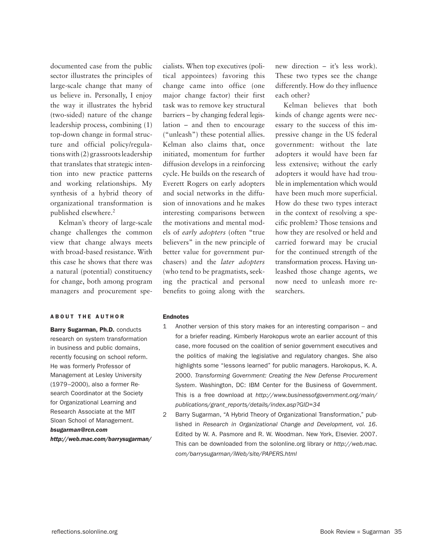documented case from the public sector illustrates the principles of large-scale change that many of us believe in. Personally, I enjoy the way it illustrates the hybrid (two-sided) nature of the change leadership process, combining (1) top-down change in formal structure and official policy/regulations with (2) grassroots leadership that translates that strategic intention into new practice patterns and working relationships. My synthesis of a hybrid theory of organizational transformation is published elsewhere.<sup>2</sup>

Kelman's theory of large-scale change challenges the common view that change always meets with broad-based resistance. With this case he shows that there was a natural (potential) constituency for change, both among program managers and procurement spe-

Barry Sugarman, Ph.D. conducts research on system transformation in business and public domains, recently focusing on school reform. He was formerly Professor of Management at Lesley University (1979–2000), also a former Research Coordinator at the Society for Organizational Learning and Research Associate at the MIT Sloan School of Management. *bsugarman@rcn.com http://web.mac.com/barrysugarman/* cialists. When top executives (political appointees) favoring this change came into office (one major change factor) their first task was to remove key structural barriers – by changing federal legislation – and then to encourage ("unleash") these potential allies. Kelman also claims that, once initiated, momentum for further diffusion develops in a reinforcing cycle. He builds on the research of Everett Rogers on early adopters and social networks in the diffusion of innovations and he makes interesting comparisons between the motivations and mental models of *early adopters* (often "true believers" in the new principle of better value for government purchasers) and the *later adopters* (who tend to be pragmatists, seeking the practical and personal benefits to going along with the

new direction – it's less work). These two types see the change differently. How do they influence each other?

Kelman believes that both kinds of change agents were necessary to the success of this impressive change in the US federal government: without the late adopters it would have been far less extensive; without the early adopters it would have had trouble in implementation which would have been much more superficial. How do these two types interact in the context of resolving a specific problem? Those tensions and how they are resolved or held and carried forward may be crucial for the continued strength of the transformation process. Having unleashed those change agents, we now need to unleash more researchers.

#### Endnotes

- **ABOUT THE AUTHOR**<br> **Endroits**<br> **ENDROITERENT AND.** Conducts<br> **ENDROITERENT SUGARMON AND A BOOK REVIEW AND AND A CONDUCT AND ABOVE THE REVIEW AND A CONDUCT AND A UNITED A UNITED A UNITED A UNITED A UNITED A UNITED A UNITE** 1 Another version of this story makes for an interesting comparison – and for a briefer reading. Kimberly Harokopus wrote an earlier account of this case, more focused on the coalition of senior government executives and the politics of making the legislative and regulatory changes. She also highlights some "lessons learned" for public managers. Harokopus, K. A. 2000. *Transforming Government: Creating the New Defense Procurement System*. Washington, DC: IBM Center for the Business of Government. This is a free download at *http://www.businessofgovernment.org/main/ publications/grant\_reports/details/index.asp?GID=34*
	- 2 Barry Sugarman, "A Hybrid Theory of Organizational Transformation," published in *Research in Organizational Change and Development, vol. 16*. Edited by W. A. Pasmore and R. W. Woodman. New York, Elsevier. 2007. This can be downloaded from the solonline.org library or *http://web.mac. com/barrysugarman/iWeb/site/PAPERS.html*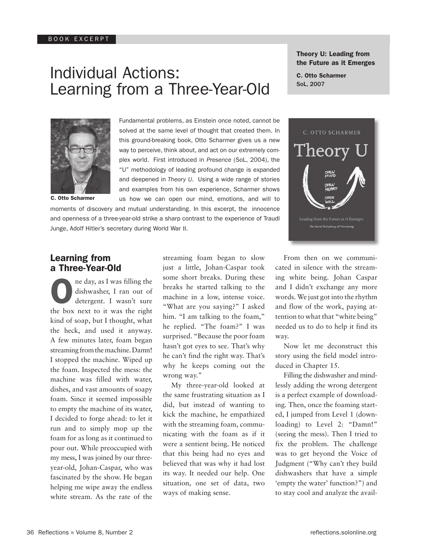# Individual Actions: Learning from a Three-Year-Old



C. Otto Scharmer

Fundamental problems, as Einstein once noted, cannot be solved at the same level of thought that created them. In this ground-breaking book, Otto Scharmer gives us a new way to perceive, think about, and act on our extremely complex world. First introduced in *Presence* (SoL, 2004), the "U" methodology of leading profound change is expanded and deepened in *Theory U*. Using a wide range of stories and examples from his own experience, Scharmer shows us how we can open our mind, emotions, and will to

moments of discovery and mutual understanding. In this excerpt, the innocence and openness of a three-year-old strike a sharp contrast to the experience of Traudl Junge, Adolf Hitler's secretary during World War II.

#### Theory U: Leading from the Future as it Emerges

C. Otto Scharmer SoL, 2007



# Learning from a Three-Year-Old

ne day, as I was filling the dishwasher, I ran out of detergent. I wasn't sure the box next to it was the right kind of soap, but I thought, what the heck, and used it anyway. A few minutes later, foam began streaming from the machine. Damn! I stopped the machine. Wiped up the foam. Inspected the mess: the machine was filled with water, dishes, and vast amounts of soapy foam. Since it seemed impossible to empty the machine of its water, I decided to forge ahead: to let it run and to simply mop up the foam for as long as it continued to pour out. While preoccupied with my mess, I was joined by our threeyear-old, Johan-Caspar, who was fascinated by the show. He began helping me wipe away the endless white stream. As the rate of the streaming foam began to slow just a little, Johan-Caspar took some short breaks. During these breaks he started talking to the machine in a low, intense voice. "What are you saying?" I asked him. "I am talking to the foam," he replied. "The foam?" I was surprised. "Because the poor foam hasn't got eyes to see. That's why he can't find the right way. That's why he keeps coming out the wrong way."

My three-year-old looked at the same frustrating situation as I did, but instead of wanting to kick the machine, he empathized with the streaming foam, communicating with the foam as if it were a sentient being. He noticed that this being had no eyes and believed that was why it had lost its way. It needed our help. One situation, one set of data, two ways of making sense.

From then on we communicated in silence with the streaming white being. Johan Caspar and I didn't exchange any more words. We just got into the rhythm and flow of the work, paying attention to what that "white being" needed us to do to help it find its way.

Now let me deconstruct this story using the field model introduced in Chapter 15.

Filling the dishwasher and mindlessly adding the wrong detergent is a perfect example of downloading. Then, once the foaming started, I jumped from Level 1 (downloading) to Level 2: "Damn!" (seeing the mess). Then I tried to fix the problem. The challenge was to get beyond the Voice of Judgment ("Why can't they build dishwashers that have a simple 'empty the water' function?") and to stay cool and analyze the avail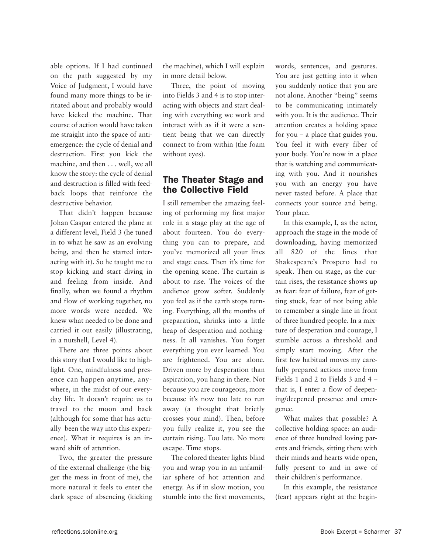able options. If I had continued on the path suggested by my Voice of Judgment, I would have found many more things to be irritated about and probably would have kicked the machine. That course of action would have taken me straight into the space of antiemergence: the cycle of denial and destruction. First you kick the machine, and then . . . well, we all know the story: the cycle of denial and destruction is filled with feedback loops that reinforce the destructive behavior.

That didn't happen because Johan Caspar entered the plane at a different level, Field 3 (he tuned in to what he saw as an evolving being, and then he started interacting with it). So he taught me to stop kicking and start diving in and feeling from inside. And finally, when we found a rhythm and flow of working together, no more words were needed. We knew what needed to be done and carried it out easily (illustrating, in a nutshell, Level 4).

There are three points about this story that I would like to highlight. One, mindfulness and presence can happen anytime, anywhere, in the midst of our everyday life. It doesn't require us to travel to the moon and back (although for some that has actually been the way into this experience). What it requires is an inward shift of attention.

Two, the greater the pressure of the external challenge (the bigger the mess in front of me), the more natural it feels to enter the dark space of absencing (kicking the machine), which I will explain in more detail below.

Three, the point of moving into Fields 3 and 4 is to stop interacting with objects and start dealing with everything we work and interact with as if it were a sentient being that we can directly connect to from within (the foam without eyes).

# The Theater Stage and the Collective Field

I still remember the amazing feeling of performing my first major role in a stage play at the age of about fourteen. You do everything you can to prepare, and you've memorized all your lines and stage cues. Then it's time for the opening scene. The curtain is about to rise. The voices of the audience grow softer. Suddenly you feel as if the earth stops turning. Everything, all the months of preparation, shrinks into a little heap of desperation and nothingness. It all vanishes. You forget everything you ever learned. You are frightened. You are alone. Driven more by desperation than aspiration, you hang in there. Not because you are courageous, more because it's now too late to run away (a thought that briefly crosses your mind). Then, before you fully realize it, you see the curtain rising. Too late. No more escape. Time stops.

The colored theater lights blind you and wrap you in an unfamiliar sphere of hot attention and energy. As if in slow motion, you stumble into the first movements, words, sentences, and gestures. You are just getting into it when you suddenly notice that you are not alone. Another "being" seems to be communicating intimately with you. It is the audience. Their attention creates a holding space for you – a place that guides you. You feel it with every fiber of your body. You're now in a place that is watching and communicating with you. And it nourishes you with an energy you have never tasted before. A place that connects your source and being. Your place.

In this example, I, as the actor, approach the stage in the mode of downloading, having memorized all 820 of the lines that Shakespeare's Prospero had to speak. Then on stage, as the curtain rises, the resistance shows up as fear: fear of failure, fear of getting stuck, fear of not being able to remember a single line in front of three hundred people. In a mixture of desperation and courage, I stumble across a threshold and simply start moving. After the first few habitual moves my carefully prepared actions move from Fields 1 and 2 to Fields 3 and 4 – that is, I enter a flow of deepening/deepened presence and emergence.

What makes that possible? A collective holding space: an audience of three hundred loving parents and friends, sitting there with their minds and hearts wide open, fully present to and in awe of their children's performance.

In this example, the resistance (fear) appears right at the begin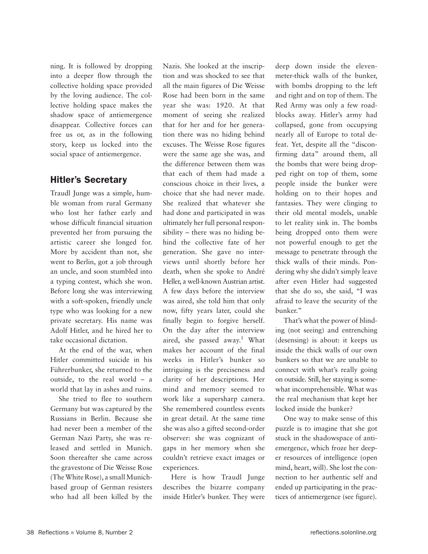ning. It is followed by dropping into a deeper flow through the collective holding space provided by the loving audience. The collective holding space makes the shadow space of antiemergence disappear. Collective forces can free us or, as in the following story, keep us locked into the social space of antiemergence.

# Hitler's Secretary

Traudl Junge was a simple, humble woman from rural Germany who lost her father early and whose difficult financial situation prevented her from pursuing the artistic career she longed for. More by accident than not, she went to Berlin, got a job through an uncle, and soon stumbled into a typing contest, which she won. Before long she was interviewing with a soft-spoken, friendly uncle type who was looking for a new private secretary. His name was Adolf Hitler, and he hired her to take occasional dictation.

At the end of the war, when Hitler committed suicide in his Führerbunker, she returned to the outside, to the real world – a world that lay in ashes and ruins.

She tried to flee to southern Germany but was captured by the Russians in Berlin. Because she had never been a member of the German Nazi Party, she was released and settled in Munich. Soon thereafter she came across the gravestone of Die Weisse Rose (The White Rose), a small Munichbased group of German resisters who had all been killed by the Nazis. She looked at the inscription and was shocked to see that all the main figures of Die Weisse Rose had been born in the same year she was: 1920. At that moment of seeing she realized that for her and for her generation there was no hiding behind excuses. The Weisse Rose figures were the same age she was, and the difference between them was that each of them had made a conscious choice in their lives, a choice that she had never made. She realized that whatever she had done and participated in was ultimately her full personal responsibility – there was no hiding behind the collective fate of her generation. She gave no interviews until shortly before her death, when she spoke to André Heller, a well-known Austrian artist. A few days before the interview was aired, she told him that only now, fifty years later, could she finally begin to forgive herself. On the day after the interview aired, she passed away.<sup>1</sup> What makes her account of the final weeks in Hitler's bunker so intriguing is the preciseness and clarity of her descriptions. Her mind and memory seemed to work like a supersharp camera. She remembered countless events in great detail. At the same time she was also a gifted second-order observer: she was cognizant of gaps in her memory when she couldn't retrieve exact images or experiences.

Here is how Traudl Junge describes the bizarre company inside Hitler's bunker. They were deep down inside the elevenmeter-thick walls of the bunker, with bombs dropping to the left and right and on top of them. The Red Army was only a few roadblocks away. Hitler's army had collapsed, gone from occupying nearly all of Europe to total defeat. Yet, despite all the "disconfirming data" around them, all the bombs that were being dropped right on top of them, some people inside the bunker were holding on to their hopes and fantasies. They were clinging to their old mental models, unable to let reality sink in. The bombs being dropped onto them were not powerful enough to get the message to penetrate through the thick walls of their minds. Pondering why she didn't simply leave after even Hitler had suggested that she do so, she said, "I was afraid to leave the security of the bunker."

That's what the power of blinding (not seeing) and entrenching (desensing) is about: it keeps us inside the thick walls of our own bunkers so that we are unable to connect with what's really going on outside. Still, her staying is somewhat incomprehensible. What was the real mechanism that kept her locked inside the bunker?

One way to make sense of this puzzle is to imagine that she got stuck in the shadowspace of antiemergence, which froze her deeper resources of intelligence (open mind, heart, will). She lost the connection to her authentic self and ended up participating in the practices of antiemergence (see figure).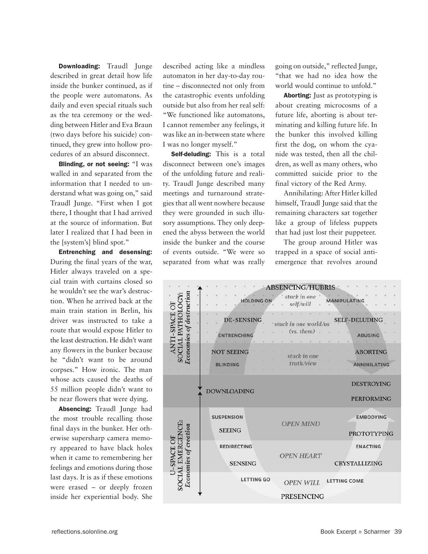Downloading: Traudl Junge described in great detail how life inside the bunker continued, as if the people were automatons. As daily and even special rituals such as the tea ceremony or the wedding between Hitler and Eva Braun (two days before his suicide) continued, they grew into hollow procedures of an absurd disconnect.

Blinding, or not seeing: "I was walled in and separated from the information that I needed to understand what was going on," said Traudl Junge. "First when I got there, I thought that I had arrived at the source of information. But later I realized that I had been in the [system's] blind spot."

Entrenching and desensing: During the final years of the war, Hitler always traveled on a special train with curtains closed so he wouldn't see the war's destruction. When he arrived back at the main train station in Berlin, his driver was instructed to take a route that would expose Hitler to the least destruction. He didn't want any flowers in the bunker because he "didn't want to be around corpses." How ironic. The man whose acts caused the deaths of 55 million people didn't want to be near flowers that were dying.

Absencing: Traudl Junge had the most trouble recalling those final days in the bunker. Her otherwise supersharp camera memory appeared to have black holes when it came to remembering her feelings and emotions during those last days. It is as if these emotions were erased – or deeply frozen inside her experiential body. She described acting like a mindless automaton in her day-to-day routine – disconnected not only from the catastrophic events unfolding outside but also from her real self: "We functioned like automatons, I cannot remember any feelings, it was like an in-between state where I was no longer myself."

Self-deluding: This is a total disconnect between one's images of the unfolding future and reality. Traudl Junge described many meetings and turnaround strategies that all went nowhere because they were grounded in such illusory assumptions. They only deepened the abyss between the world inside the bunker and the course of events outside. "We were so separated from what was really going on outside," reflected Junge, "that we had no idea how the world would continue to unfold."

Aborting: Just as prototyping is about creating microcosms of a future life, aborting is about terminating and killing future life. In the bunker this involved killing first the dog, on whom the cyanide was tested, then all the children, as well as many others, who committed suicide prior to the final victory of the Red Army.

Annihilating: After Hitler killed himself, Traudl Junge said that the remaining characters sat together like a group of lifeless puppets that had just lost their puppeteer.

The group around Hitler was trapped in a space of social antiemergence that revolves around

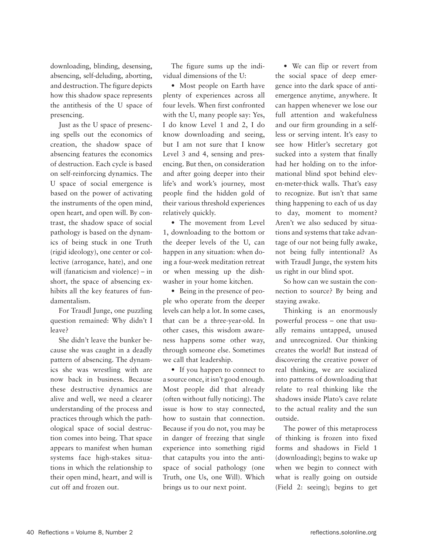downloading, blinding, desensing, absencing, self-deluding, aborting, and destruction. The figure depicts how this shadow space represents the antithesis of the U space of presencing.

Just as the U space of presencing spells out the economics of creation, the shadow space of absencing features the economics of destruction. Each cycle is based on self-reinforcing dynamics. The U space of social emergence is based on the power of activating the instruments of the open mind, open heart, and open will. By contrast, the shadow space of social pathology is based on the dynamics of being stuck in one Truth (rigid ideology), one center or collective (arrogance, hate), and one will (fanaticism and violence) – in short, the space of absencing exhibits all the key features of fundamentalism.

For Traudl Junge, one puzzling question remained: Why didn't I leave?

She didn't leave the bunker because she was caught in a deadly pattern of absencing. The dynamics she was wrestling with are now back in business. Because these destructive dynamics are alive and well, we need a clearer understanding of the process and practices through which the pathological space of social destruction comes into being. That space appears to manifest when human systems face high-stakes situations in which the relationship to their open mind, heart, and will is cut off and frozen out.

The figure sums up the individual dimensions of the U:

• Most people on Earth have plenty of experiences across all four levels. When first confronted with the U, many people say: Yes, I do know Level 1 and 2, I do know downloading and seeing, but I am not sure that I know Level 3 and 4, sensing and presencing. But then, on consideration and after going deeper into their life's and work's journey, most people find the hidden gold of their various threshold experiences relatively quickly.

• The movement from Level 1, downloading to the bottom or the deeper levels of the U, can happen in any situation: when doing a four-week meditation retreat or when messing up the dishwasher in your home kitchen.

• Being in the presence of people who operate from the deeper levels can help a lot. In some cases, that can be a three-year-old. In other cases, this wisdom awareness happens some other way, through someone else. Sometimes we call that leadership.

• If you happen to connect to a source once, it isn't good enough. Most people did that already (often without fully noticing). The issue is how to stay connected, how to sustain that connection. Because if you do not, you may be in danger of freezing that single experience into something rigid that catapults you into the antispace of social pathology (one Truth, one Us, one Will). Which brings us to our next point.

• We can flip or revert from the social space of deep emergence into the dark space of antiemergence anytime, anywhere. It can happen whenever we lose our full attention and wakefulness and our firm grounding in a selfless or serving intent. It's easy to see how Hitler's secretary got sucked into a system that finally had her holding on to the informational blind spot behind eleven-meter-thick walls. That's easy to recognize. But isn't that same thing happening to each of us day to day, moment to moment? Aren't we also seduced by situations and systems that take advantage of our not being fully awake, not being fully intentional? As with Traudl Junge, the system hits us right in our blind spot.

So how can we sustain the connection to source? By being and staying awake.

Thinking is an enormously powerful process – one that usually remains untapped, unused and unrecognized. Our thinking creates the world! But instead of discovering the creative power of real thinking, we are socialized into patterns of downloading that relate to real thinking like the shadows inside Plato's cave relate to the actual reality and the sun outside.

The power of this metaprocess of thinking is frozen into fixed forms and shadows in Field 1 (downloading); begins to wake up when we begin to connect with what is really going on outside (Field 2: seeing); begins to get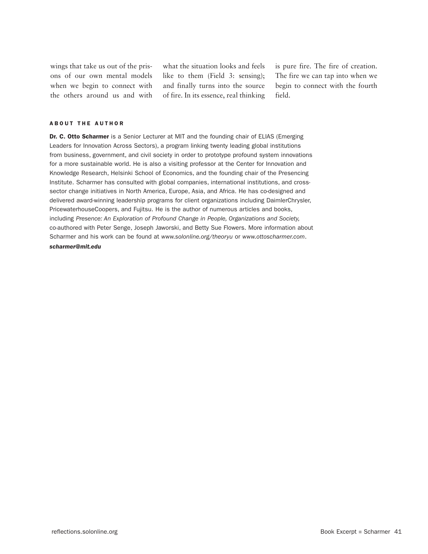wings that take us out of the prisons of our own mental models when we begin to connect with the others around us and with what the situation looks and feels like to them (Field 3: sensing); and finally turns into the source of fire. In its essence, real thinking is pure fire. The fire of creation. The fire we can tap into when we begin to connect with the fourth field.

**ABOUT THE AUTHOR CENTRAL CENTRAL CENTRAL CENTRAL CENTRAL CENTRAL CENTRAL CENTRAL CENTRAL CONSULTABLY CONSULTABLY CONSULTABLY AND CONSULTABLY CONSULTABLY CONSULTABLY CONSULTABLY CONSULTABLY CONSULTABLY CONSULTABLY CONSULT** Dr. C. Otto Scharmer is a Senior Lecturer at MIT and the founding chair of ELIAS (Emerging Leaders for Innovation Across Sectors), a program linking twenty leading global institutions from business, government, and civil society in order to prototype profound system innovations for a more sustainable world. He is also a visiting professor at the Center for Innovation and Knowledge Research, Helsinki School of Economics, and the founding chair of the Presencing Institute. Scharmer has consulted with global companies, international institutions, and crosssector change initiatives in North America, Europe, Asia, and Africa. He has co-designed and delivered award-winning leadership programs for client organizations including DaimlerChrysler, PricewaterhouseCoopers, and Fujitsu. He is the author of numerous articles and books, including *Presence: An Exploration of Profound Change in People, Organizations and Society,* co-authored with Peter Senge, Joseph Jaworski, and Betty Sue Flowers. More information about Scharmer and his work can be found at *www.solonline.org/theoryu* or *www.ottoscharmer.com*. *scharmer@mit.edu*